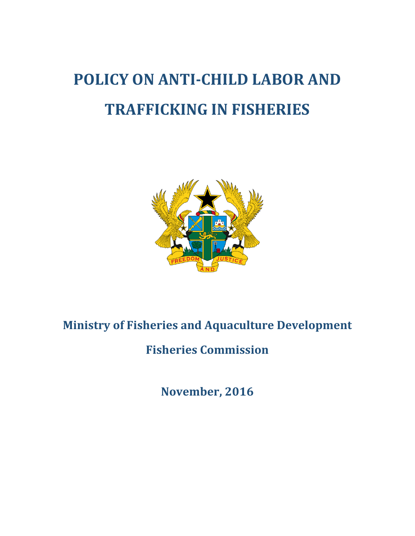# **POLICY ON ANTI-CHILD LABOR AND TRAFFICKING IN FISHERIES**



# **Ministry of Fisheries and Aquaculture Development**

**Fisheries Commission**

**November, 2016**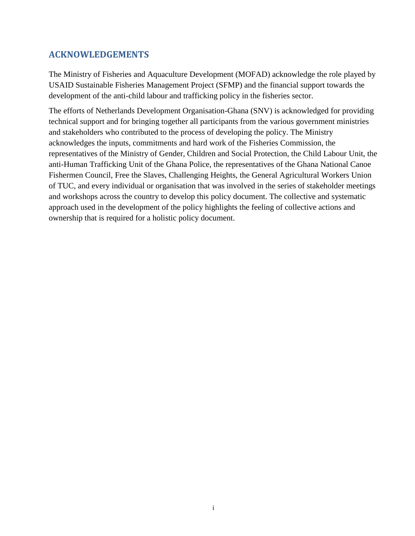### **ACKNOWLEDGEMENTS**

The Ministry of Fisheries and Aquaculture Development (MOFAD) acknowledge the role played by USAID Sustainable Fisheries Management Project (SFMP) and the financial support towards the development of the anti-child labour and trafficking policy in the fisheries sector.

The efforts of Netherlands Development Organisation-Ghana (SNV) is acknowledged for providing technical support and for bringing together all participants from the various government ministries and stakeholders who contributed to the process of developing the policy. The Ministry acknowledges the inputs, commitments and hard work of the Fisheries Commission, the representatives of the Ministry of Gender, Children and Social Protection, the Child Labour Unit, the anti-Human Trafficking Unit of the Ghana Police, the representatives of the Ghana National Canoe Fishermen Council, Free the Slaves, Challenging Heights, the General Agricultural Workers Union of TUC, and every individual or organisation that was involved in the series of stakeholder meetings and workshops across the country to develop this policy document. The collective and systematic approach used in the development of the policy highlights the feeling of collective actions and ownership that is required for a holistic policy document.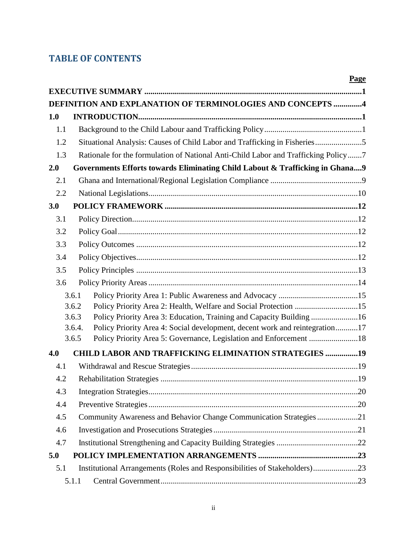# **TABLE OF CONTENTS**

|     |                 |                                                                                    | Page |
|-----|-----------------|------------------------------------------------------------------------------------|------|
|     |                 |                                                                                    |      |
|     |                 | DEFINITION AND EXPLANATION OF TERMINOLOGIES AND CONCEPTS 4                         |      |
| 1.0 |                 |                                                                                    |      |
| 1.1 |                 |                                                                                    |      |
| 1.2 |                 | Situational Analysis: Causes of Child Labor and Trafficking in Fisheries5          |      |
| 1.3 |                 | Rationale for the formulation of National Anti-Child Labor and Trafficking Policy7 |      |
| 2.0 |                 | Governments Efforts towards Eliminating Child Labout & Trafficking in Ghana9       |      |
| 2.1 |                 |                                                                                    |      |
| 2.2 |                 |                                                                                    |      |
| 3.0 |                 |                                                                                    |      |
| 3.1 |                 |                                                                                    |      |
| 3.2 |                 |                                                                                    |      |
| 3.3 |                 |                                                                                    |      |
| 3.4 |                 |                                                                                    |      |
| 3.5 |                 |                                                                                    |      |
| 3.6 |                 |                                                                                    |      |
|     | 3.6.1           |                                                                                    |      |
|     | 3.6.2           | Policy Priority Area 2: Health, Welfare and Social Protection 15                   |      |
|     | 3.6.3           | Policy Priority Area 3: Education, Training and Capacity Building 16               |      |
|     | 3.6.4.<br>3.6.5 | Policy Priority Area 4: Social development, decent work and reintegration17        |      |
|     |                 | Policy Priority Area 5: Governance, Legislation and Enforcement 18                 |      |
| 4.0 |                 | <b>CHILD LABOR AND TRAFFICKING ELIMINATION STRATEGIES 19</b>                       |      |
| 4.1 |                 |                                                                                    |      |
| 4.2 |                 |                                                                                    |      |
| 4.3 |                 |                                                                                    |      |
| 4.4 |                 |                                                                                    |      |
| 4.5 |                 | Community Awareness and Behavior Change Communication Strategies21                 |      |
| 4.6 |                 |                                                                                    |      |
| 4.7 |                 |                                                                                    |      |
| 5.0 |                 |                                                                                    |      |
| 5.1 |                 | Institutional Arrangements (Roles and Responsibilities of Stakeholders)23          |      |
|     | 5.1.1           |                                                                                    |      |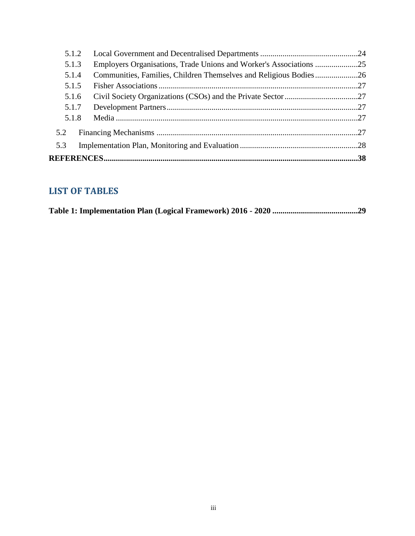| 5.1.2 |                                                                   |  |
|-------|-------------------------------------------------------------------|--|
| 5.1.3 |                                                                   |  |
| 5.1.4 | Communities, Families, Children Themselves and Religious Bodies26 |  |
| 5.1.5 |                                                                   |  |
| 5.1.6 |                                                                   |  |
| 5.1.7 |                                                                   |  |
| 5.1.8 |                                                                   |  |
| 5.2   |                                                                   |  |
| 5.3   |                                                                   |  |
|       |                                                                   |  |
|       |                                                                   |  |

# **LIST OF TABLES**

|--|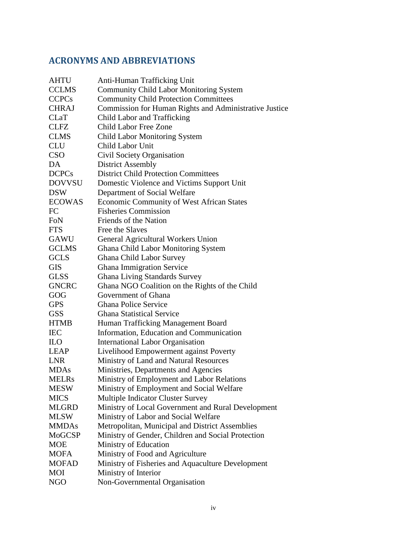# **ACRONYMS AND ABBREVIATIONS**

| <b>AHTU</b>   | Anti-Human Trafficking Unit                            |
|---------------|--------------------------------------------------------|
| <b>CCLMS</b>  | <b>Community Child Labor Monitoring System</b>         |
| <b>CCPCs</b>  | <b>Community Child Protection Committees</b>           |
| <b>CHRAJ</b>  | Commission for Human Rights and Administrative Justice |
| <b>CLaT</b>   | Child Labor and Trafficking                            |
| <b>CLFZ</b>   | <b>Child Labor Free Zone</b>                           |
| <b>CLMS</b>   | <b>Child Labor Monitoring System</b>                   |
| <b>CLU</b>    | <b>Child Labor Unit</b>                                |
| <b>CSO</b>    | Civil Society Organisation                             |
| DA            | <b>District Assembly</b>                               |
| <b>DCPCs</b>  | <b>District Child Protection Committees</b>            |
| <b>DOVVSU</b> | Domestic Violence and Victims Support Unit             |
| <b>DSW</b>    | Department of Social Welfare                           |
| <b>ECOWAS</b> | <b>Economic Community of West African States</b>       |
| FC            | <b>Fisheries Commission</b>                            |
| FoN           | Friends of the Nation                                  |
| <b>FTS</b>    | Free the Slaves                                        |
| <b>GAWU</b>   | General Agricultural Workers Union                     |
| <b>GCLMS</b>  | Ghana Child Labor Monitoring System                    |
| <b>GCLS</b>   | Ghana Child Labor Survey                               |
| <b>GIS</b>    | <b>Ghana Immigration Service</b>                       |
| <b>GLSS</b>   | <b>Ghana Living Standards Survey</b>                   |
| <b>GNCRC</b>  | Ghana NGO Coalition on the Rights of the Child         |
| GOG           | Government of Ghana                                    |
| <b>GPS</b>    | <b>Ghana Police Service</b>                            |
| <b>GSS</b>    | <b>Ghana Statistical Service</b>                       |
| <b>HTMB</b>   | Human Trafficking Management Board                     |
| <b>IEC</b>    | Information, Education and Communication               |
| <b>ILO</b>    | <b>International Labor Organisation</b>                |
| <b>LEAP</b>   | Livelihood Empowerment against Poverty                 |
| <b>LNR</b>    | Ministry of Land and Natural Resources                 |
| <b>MDAs</b>   | Ministries, Departments and Agencies                   |
| <b>MELRs</b>  | Ministry of Employment and Labor Relations             |
| <b>MESW</b>   | Ministry of Employment and Social Welfare              |
| <b>MICS</b>   | Multiple Indicator Cluster Survey                      |
| <b>MLGRD</b>  | Ministry of Local Government and Rural Development     |
| <b>MLSW</b>   | Ministry of Labor and Social Welfare                   |
| <b>MMDAs</b>  | Metropolitan, Municipal and District Assemblies        |
| <b>MoGCSP</b> | Ministry of Gender, Children and Social Protection     |
| <b>MOE</b>    | Ministry of Education                                  |
| <b>MOFA</b>   | Ministry of Food and Agriculture                       |
| <b>MOFAD</b>  | Ministry of Fisheries and Aquaculture Development      |
| <b>MOI</b>    | Ministry of Interior                                   |
| <b>NGO</b>    | Non-Governmental Organisation                          |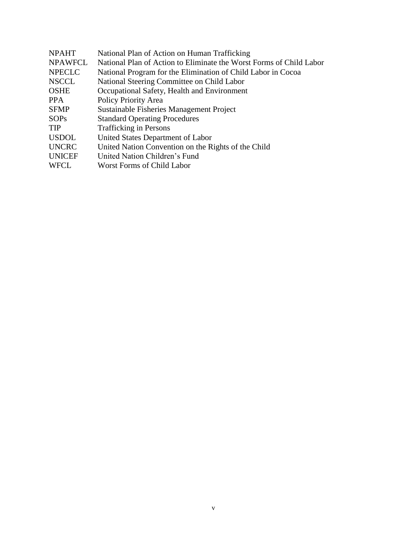| <b>NPAHT</b>   | National Plan of Action on Human Trafficking                        |
|----------------|---------------------------------------------------------------------|
| <b>NPAWFCL</b> | National Plan of Action to Eliminate the Worst Forms of Child Labor |
| <b>NPECLC</b>  | National Program for the Elimination of Child Labor in Cocoa        |
| <b>NSCCL</b>   | National Steering Committee on Child Labor                          |
| <b>OSHE</b>    | Occupational Safety, Health and Environment                         |
| <b>PPA</b>     | Policy Priority Area                                                |
| <b>SFMP</b>    | Sustainable Fisheries Management Project                            |
| <b>SOPs</b>    | <b>Standard Operating Procedures</b>                                |
| <b>TIP</b>     | <b>Trafficking in Persons</b>                                       |
| <b>USDOL</b>   | United States Department of Labor                                   |
| <b>UNCRC</b>   | United Nation Convention on the Rights of the Child                 |
| <b>UNICEF</b>  | United Nation Children's Fund                                       |
| <b>WFCL</b>    | Worst Forms of Child Labor                                          |
|                |                                                                     |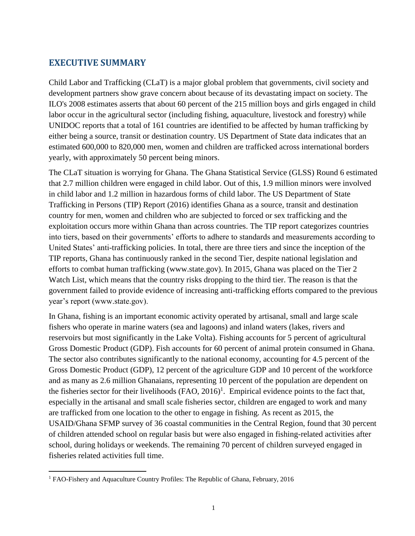### <span id="page-6-0"></span>**EXECUTIVE SUMMARY**

Child Labor and Trafficking (CLaT) is a major global problem that governments, civil society and development partners show grave concern about because of its devastating impact on society. The ILO's 2008 estimates asserts that about 60 percent of the 215 million boys and girls engaged in child labor occur in the agricultural sector (including fishing, aquaculture, livestock and forestry) while UNIDOC reports that a total of 161 countries are identified to be affected by human trafficking by either being a source, transit or destination country. US Department of State data indicates that an estimated 600,000 to 820,000 men, women and children are trafficked across international borders yearly, with approximately 50 percent being minors.

The CLaT situation is worrying for Ghana. The Ghana Statistical Service (GLSS) Round 6 estimated that 2.7 million children were engaged in child labor. Out of this, 1.9 million minors were involved in child labor and 1.2 million in hazardous forms of child labor. The US Department of State Trafficking in Persons (TIP) Report (2016) identifies Ghana as a source, transit and destination country for men, women and children who are subjected to forced or sex trafficking and the exploitation occurs more within Ghana than across countries. The TIP report categorizes countries into tiers, based on their governments' efforts to adhere to standards and measurements according to United States' anti-trafficking policies. In total, there are three tiers and since the inception of the TIP reports, Ghana has continuously ranked in the second Tier, despite national legislation and efforts to combat human trafficking (www.state.gov). In 2015, Ghana was placed on the Tier 2 Watch List, which means that the country risks dropping to the third tier. The reason is that the government failed to provide evidence of increasing anti-trafficking efforts compared to the previous year's report (www.state.gov).

In Ghana, fishing is an important economic activity operated by artisanal, small and large scale fishers who operate in marine waters (sea and lagoons) and inland waters (lakes, rivers and reservoirs but most significantly in the Lake Volta). Fishing accounts for 5 percent of agricultural Gross Domestic Product (GDP). Fish accounts for 60 percent of animal protein consumed in Ghana. The sector also contributes significantly to the national economy, accounting for 4.5 percent of the Gross Domestic Product (GDP), 12 percent of the agriculture GDP and 10 percent of the workforce and as many as 2.6 million Ghanaians, representing 10 percent of the population are dependent on the fisheries sector for their livelihoods  $(FAO, 2016)^1$ . Empirical evidence points to the fact that, especially in the artisanal and small scale fisheries sector, children are engaged to work and many are trafficked from one location to the other to engage in fishing. As recent as 2015, the USAID/Ghana SFMP survey of 36 coastal communities in the Central Region, found that 30 percent of children attended school on regular basis but were also engaged in fishing-related activities after school, during holidays or weekends. The remaining 70 percent of children surveyed engaged in fisheries related activities full time.

 $\overline{a}$ 

<sup>1</sup> FAO-Fishery and Aquaculture Country Profiles: The Republic of Ghana, February, 2016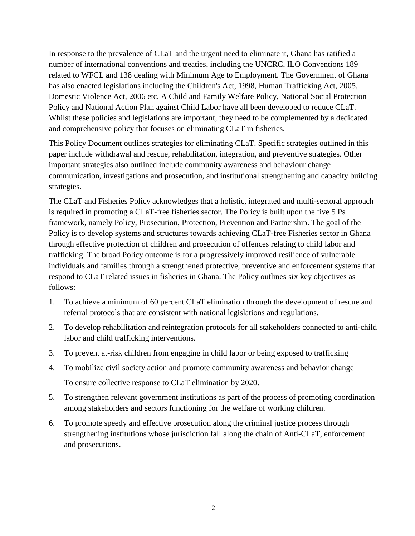In response to the prevalence of CLaT and the urgent need to eliminate it, Ghana has ratified a number of international conventions and treaties, including the UNCRC, ILO Conventions 189 related to WFCL and 138 dealing with Minimum Age to Employment. The Government of Ghana has also enacted legislations including the Children's Act, 1998, Human Trafficking Act, 2005, Domestic Violence Act, 2006 etc. A Child and Family Welfare Policy, National Social Protection Policy and National Action Plan against Child Labor have all been developed to reduce CLaT. Whilst these policies and legislations are important, they need to be complemented by a dedicated and comprehensive policy that focuses on eliminating CLaT in fisheries.

This Policy Document outlines strategies for eliminating CLaT. Specific strategies outlined in this paper include withdrawal and rescue, rehabilitation, integration, and preventive strategies. Other important strategies also outlined include community awareness and behaviour change communication, investigations and prosecution, and institutional strengthening and capacity building strategies.

The CLaT and Fisheries Policy acknowledges that a holistic, integrated and multi-sectoral approach is required in promoting a CLaT-free fisheries sector. The Policy is built upon the five 5 Ps framework, namely Policy, Prosecution, Protection, Prevention and Partnership. The goal of the Policy is to develop systems and structures towards achieving CLaT-free Fisheries sector in Ghana through effective protection of children and prosecution of offences relating to child labor and trafficking. The broad Policy outcome is for a progressively improved resilience of vulnerable individuals and families through a strengthened protective, preventive and enforcement systems that respond to CLaT related issues in fisheries in Ghana. The Policy outlines six key objectives as follows:

- 1. To achieve a minimum of 60 percent CLaT elimination through the development of rescue and referral protocols that are consistent with national legislations and regulations.
- 2. To develop rehabilitation and reintegration protocols for all stakeholders connected to anti-child labor and child trafficking interventions.
- 3. To prevent at-risk children from engaging in child labor or being exposed to trafficking
- 4. To mobilize civil society action and promote community awareness and behavior change To ensure collective response to CLaT elimination by 2020.
- 5. To strengthen relevant government institutions as part of the process of promoting coordination among stakeholders and sectors functioning for the welfare of working children.
- 6. To promote speedy and effective prosecution along the criminal justice process through strengthening institutions whose jurisdiction fall along the chain of Anti-CLaT, enforcement and prosecutions.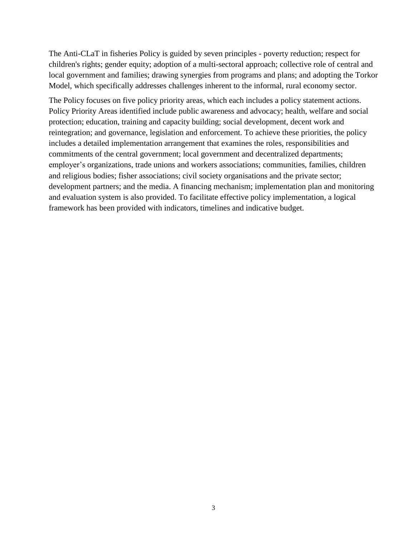The Anti-CLaT in fisheries Policy is guided by seven principles - poverty reduction; respect for children's rights; gender equity; adoption of a multi-sectoral approach; collective role of central and local government and families; drawing synergies from programs and plans; and adopting the Torkor Model, which specifically addresses challenges inherent to the informal, rural economy sector.

The Policy focuses on five policy priority areas, which each includes a policy statement actions. Policy Priority Areas identified include public awareness and advocacy; health, welfare and social protection; education, training and capacity building; social development, decent work and reintegration; and governance, legislation and enforcement. To achieve these priorities, the policy includes a detailed implementation arrangement that examines the roles, responsibilities and commitments of the central government; local government and decentralized departments; employer's organizations, trade unions and workers associations; communities, families, children and religious bodies; fisher associations; civil society organisations and the private sector; development partners; and the media. A financing mechanism; implementation plan and monitoring and evaluation system is also provided. To facilitate effective policy implementation, a logical framework has been provided with indicators, timelines and indicative budget.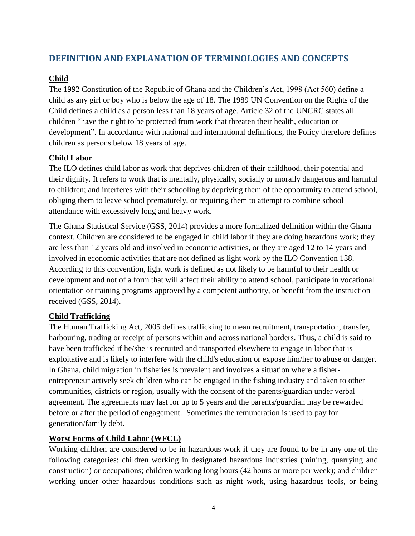### <span id="page-9-0"></span>**DEFINITION AND EXPLANATION OF TERMINOLOGIES AND CONCEPTS**

#### **Child**

The 1992 Constitution of the Republic of Ghana and the Children's Act, 1998 (Act 560) define a child as any girl or boy who is below the age of 18. The 1989 UN Convention on the Rights of the Child defines a child as a person less than 18 years of age. Article 32 of the UNCRC states all children "have the right to be protected from work that threaten their health, education or development". In accordance with national and international definitions, the Policy therefore defines children as persons below 18 years of age.

#### **Child Labor**

The ILO defines child labor as work that deprives children of their childhood, their potential and their dignity. It refers to work that is mentally, physically, socially or morally dangerous and harmful to children; and interferes with their schooling by depriving them of the opportunity to attend school, obliging them to leave school prematurely, or requiring them to attempt to combine school attendance with excessively long and heavy work.

The Ghana Statistical Service (GSS, 2014) provides a more formalized definition within the Ghana context. Children are considered to be engaged in child labor if they are doing hazardous work; they are less than 12 years old and involved in economic activities, or they are aged 12 to 14 years and involved in economic activities that are not defined as light work by the ILO Convention 138. According to this convention, light work is defined as not likely to be harmful to their health or development and not of a form that will affect their ability to attend school, participate in vocational orientation or training programs approved by a competent authority, or benefit from the instruction received (GSS, 2014).

#### **Child Trafficking**

The Human Trafficking Act, 2005 defines trafficking to mean recruitment, transportation, transfer, harbouring, trading or receipt of persons within and across national borders. Thus, a child is said to have been trafficked if he/she is recruited and transported elsewhere to engage in labor that is exploitative and is likely to interfere with the child's education or expose him/her to abuse or danger. In Ghana, child migration in fisheries is prevalent and involves a situation where a fisherentrepreneur actively seek children who can be engaged in the fishing industry and taken to other communities, districts or region, usually with the consent of the parents/guardian under verbal agreement. The agreements may last for up to 5 years and the parents/guardian may be rewarded before or after the period of engagement. Sometimes the remuneration is used to pay for generation/family debt.

#### **Worst Forms of Child Labor (WFCL)**

Working children are considered to be in hazardous work if they are found to be in any one of the following categories: children working in designated hazardous industries (mining, quarrying and construction) or occupations; children working long hours (42 hours or more per week); and children working under other hazardous conditions such as night work, using hazardous tools, or being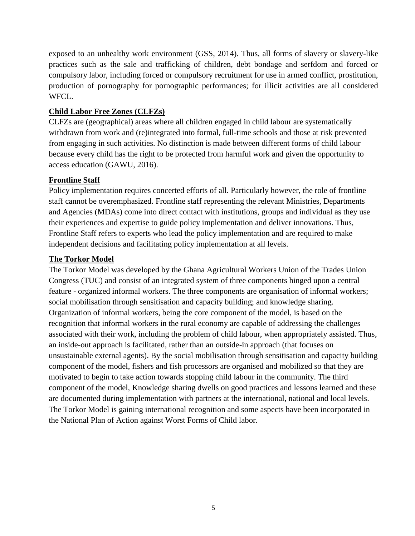exposed to an unhealthy work environment (GSS, 2014). Thus, all forms of slavery or slavery-like practices such as the sale and trafficking of children, debt bondage and serfdom and forced or compulsory labor, including forced or compulsory recruitment for use in armed conflict, prostitution, production of pornography for pornographic performances; for illicit activities are all considered WFCL.

#### **Child Labor Free Zones (CLFZs)**

CLFZs are (geographical) areas where all children engaged in child labour are systematically withdrawn from work and (re)integrated into formal, full-time schools and those at risk prevented from engaging in such activities. No distinction is made between different forms of child labour because every child has the right to be protected from harmful work and given the opportunity to access education (GAWU, 2016).

#### **Frontline Staff**

Policy implementation requires concerted efforts of all. Particularly however, the role of frontline staff cannot be overemphasized. Frontline staff representing the relevant Ministries, Departments and Agencies (MDAs) come into direct contact with institutions, groups and individual as they use their experiences and expertise to guide policy implementation and deliver innovations. Thus, Frontline Staff refers to experts who lead the policy implementation and are required to make independent decisions and facilitating policy implementation at all levels.

#### **The Torkor Model**

The Torkor Model was developed by the Ghana Agricultural Workers Union of the Trades Union Congress (TUC) and consist of an integrated system of three components hinged upon a central feature - organized informal workers. The three components are organisation of informal workers; social mobilisation through sensitisation and capacity building; and knowledge sharing. Organization of informal workers, being the core component of the model, is based on the recognition that informal workers in the rural economy are capable of addressing the challenges associated with their work, including the problem of child labour, when appropriately assisted. Thus, an inside-out approach is facilitated, rather than an outside-in approach (that focuses on unsustainable external agents). By the social mobilisation through sensitisation and capacity building component of the model, fishers and fish processors are organised and mobilized so that they are motivated to begin to take action towards stopping child labour in the community. The third component of the model, Knowledge sharing dwells on good practices and lessons learned and these are documented during implementation with partners at the international, national and local levels. The Torkor Model is gaining international recognition and some aspects have been incorporated in the National Plan of Action against Worst Forms of Child labor.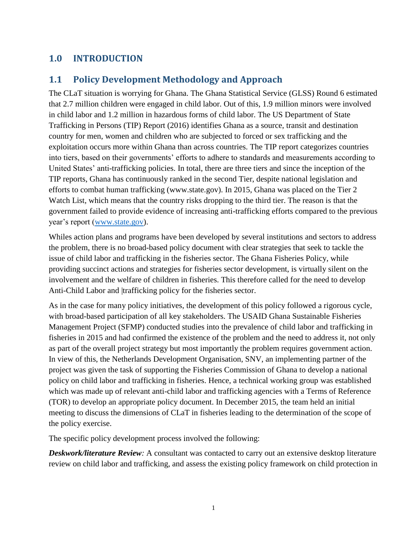# <span id="page-11-0"></span>**1.0 INTRODUCTION**

# <span id="page-11-1"></span>**1.1 Policy Development Methodology and Approach**

The CLaT situation is worrying for Ghana. The Ghana Statistical Service (GLSS) Round 6 estimated that 2.7 million children were engaged in child labor. Out of this, 1.9 million minors were involved in child labor and 1.2 million in hazardous forms of child labor. The US Department of State Trafficking in Persons (TIP) Report (2016) identifies Ghana as a source, transit and destination country for men, women and children who are subjected to forced or sex trafficking and the exploitation occurs more within Ghana than across countries. The TIP report categorizes countries into tiers, based on their governments' efforts to adhere to standards and measurements according to United States' anti-trafficking policies. In total, there are three tiers and since the inception of the TIP reports, Ghana has continuously ranked in the second Tier, despite national legislation and efforts to combat human trafficking (www.state.gov). In 2015, Ghana was placed on the Tier 2 Watch List, which means that the country risks dropping to the third tier. The reason is that the government failed to provide evidence of increasing anti-trafficking efforts compared to the previous year's report [\(www.state.gov\)](http://www.state.gov/).

Whiles action plans and programs have been developed by several institutions and sectors to address the problem, there is no broad-based policy document with clear strategies that seek to tackle the issue of child labor and trafficking in the fisheries sector. The Ghana Fisheries Policy, while providing succinct actions and strategies for fisheries sector development, is virtually silent on the involvement and the welfare of children in fisheries. This therefore called for the need to develop Anti-Child Labor and |trafficking policy for the fisheries sector.

As in the case for many policy initiatives, the development of this policy followed a rigorous cycle, with broad-based participation of all key stakeholders. The USAID Ghana Sustainable Fisheries Management Project (SFMP) conducted studies into the prevalence of child labor and trafficking in fisheries in 2015 and had confirmed the existence of the problem and the need to address it, not only as part of the overall project strategy but most importantly the problem requires government action. In view of this, the Netherlands Development Organisation, SNV, an implementing partner of the project was given the task of supporting the Fisheries Commission of Ghana to develop a national policy on child labor and trafficking in fisheries. Hence, a technical working group was established which was made up of relevant anti-child labor and trafficking agencies with a Terms of Reference (TOR) to develop an appropriate policy document. In December 2015, the team held an initial meeting to discuss the dimensions of CLaT in fisheries leading to the determination of the scope of the policy exercise.

The specific policy development process involved the following:

*Deskwork/literature Review:* A consultant was contacted to carry out an extensive desktop literature review on child labor and trafficking, and assess the existing policy framework on child protection in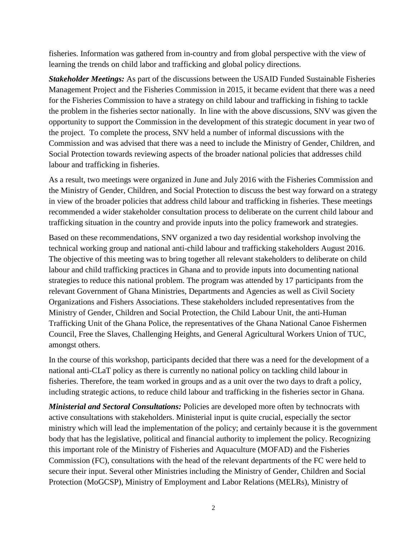fisheries. Information was gathered from in-country and from global perspective with the view of learning the trends on child labor and trafficking and global policy directions.

*Stakeholder Meetings:* As part of the discussions between the USAID Funded Sustainable Fisheries Management Project and the Fisheries Commission in 2015, it became evident that there was a need for the Fisheries Commission to have a strategy on child labour and trafficking in fishing to tackle the problem in the fisheries sector nationally.In line with the above discussions, SNV was given the opportunity to support the Commission in the development of this strategic document in year two of the project.To complete the process, SNV held a number of informal discussions with the Commission and was advised that there was a need to include the Ministry of Gender, Children, and Social Protection towards reviewing aspects of the broader national policies that addresses child labour and trafficking in fisheries.

As a result, two meetings were organized in June and July 2016 with the Fisheries Commission and the Ministry of Gender, Children, and Social Protection to discuss the best way forward on a strategy in view of the broader policies that address child labour and trafficking in fisheries. These meetings recommended a wider stakeholder consultation process to deliberate on the current child labour and trafficking situation in the country and provide inputs into the policy framework and strategies.

Based on these recommendations, SNV organized a two day residential workshop involving the technical working group and national anti-child labour and trafficking stakeholders August 2016. The objective of this meeting was to bring together all relevant stakeholders to deliberate on child labour and child trafficking practices in Ghana and to provide inputs into documenting national strategies to reduce this national problem. The program was attended by 17 participants from the relevant Government of Ghana Ministries, Departments and Agencies as well as Civil Society Organizations and Fishers Associations. These stakeholders included representatives from the Ministry of Gender, Children and Social Protection, the Child Labour Unit, the anti-Human Trafficking Unit of the Ghana Police, the representatives of the Ghana National Canoe Fishermen Council, Free the Slaves, Challenging Heights, and General Agricultural Workers Union of TUC, amongst others.

In the course of this workshop, participants decided that there was a need for the development of a national anti-CLaT policy as there is currently no national policy on tackling child labour in fisheries. Therefore, the team worked in groups and as a unit over the two days to draft a policy, including strategic actions, to reduce child labour and trafficking in the fisheries sector in Ghana.

*Ministerial and Sectoral Consultations:* Policies are developed more often by technocrats with active consultations with stakeholders. Ministerial input is quite crucial, especially the sector ministry which will lead the implementation of the policy; and certainly because it is the government body that has the legislative, political and financial authority to implement the policy. Recognizing this important role of the Ministry of Fisheries and Aquaculture (MOFAD) and the Fisheries Commission (FC), consultations with the head of the relevant departments of the FC were held to secure their input. Several other Ministries including the Ministry of Gender, Children and Social Protection (MoGCSP), Ministry of Employment and Labor Relations (MELRs), Ministry of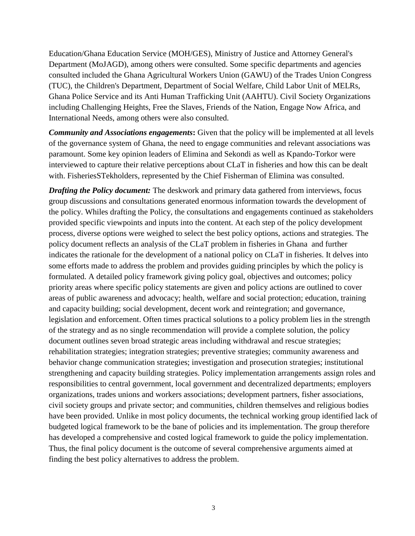Education/Ghana Education Service (MOH/GES), Ministry of Justice and Attorney General's Department (MoJAGD), among others were consulted. Some specific departments and agencies consulted included the Ghana Agricultural Workers Union (GAWU) of the Trades Union Congress (TUC), the Children's Department, Department of Social Welfare, Child Labor Unit of MELRs, Ghana Police Service and its Anti Human Trafficking Unit (AAHTU). Civil Society Organizations including Challenging Heights, Free the Slaves, Friends of the Nation, Engage Now Africa, and International Needs, among others were also consulted.

*Community and Associations engagements***:** Given that the policy will be implemented at all levels of the governance system of Ghana, the need to engage communities and relevant associations was paramount. Some key opinion leaders of Elimina and Sekondi as well as Kpando-Torkor were interviewed to capture their relative perceptions about CLaT in fisheries and how this can be dealt with. FisheriesSTekholders, represented by the Chief Fisherman of Elimina was consulted.

*Drafting the Policy document:* The deskwork and primary data gathered from interviews, focus group discussions and consultations generated enormous information towards the development of the policy. Whiles drafting the Policy, the consultations and engagements continued as stakeholders provided specific viewpoints and inputs into the content. At each step of the policy development process, diverse options were weighed to select the best policy options, actions and strategies. The policy document reflects an analysis of the CLaT problem in fisheries in Ghana and further indicates the rationale for the development of a national policy on CLaT in fisheries. It delves into some efforts made to address the problem and provides guiding principles by which the policy is formulated. A detailed policy framework giving policy goal, objectives and outcomes; policy priority areas where specific policy statements are given and policy actions are outlined to cover areas of public awareness and advocacy; health, welfare and social protection; education, training and capacity building; social development, decent work and reintegration; and governance, legislation and enforcement. Often times practical solutions to a policy problem lies in the strength of the strategy and as no single recommendation will provide a complete solution, the policy document outlines seven broad strategic areas including withdrawal and rescue strategies; rehabilitation strategies; integration strategies; preventive strategies; community awareness and behavior change communication strategies; investigation and prosecution strategies; institutional strengthening and capacity building strategies. Policy implementation arrangements assign roles and responsibilities to central government, local government and decentralized departments; employers organizations, trades unions and workers associations; development partners, fisher associations, civil society groups and private sector; and communities, children themselves and religious bodies have been provided. Unlike in most policy documents, the technical working group identified lack of budgeted logical framework to be the bane of policies and its implementation. The group therefore has developed a comprehensive and costed logical framework to guide the policy implementation. Thus, the final policy document is the outcome of several comprehensive arguments aimed at finding the best policy alternatives to address the problem.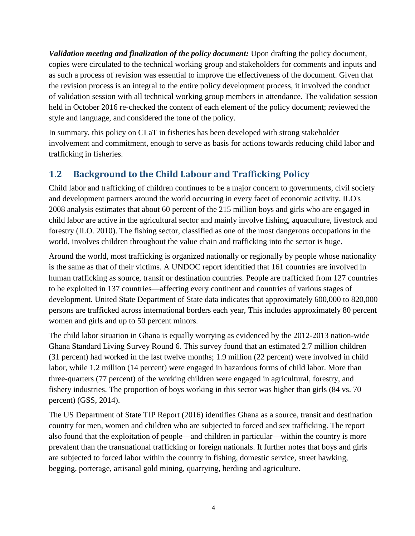*Validation meeting and finalization of the policy document:* Upon drafting the policy document, copies were circulated to the technical working group and stakeholders for comments and inputs and as such a process of revision was essential to improve the effectiveness of the document. Given that the revision process is an integral to the entire policy development process, it involved the conduct of validation session with all technical working group members in attendance. The validation session held in October 2016 re-checked the content of each element of the policy document; reviewed the style and language, and considered the tone of the policy.

In summary, this policy on CLaT in fisheries has been developed with strong stakeholder involvement and commitment, enough to serve as basis for actions towards reducing child labor and trafficking in fisheries.

# **1.2 Background to the Child Labour and Trafficking Policy**

Child labor and trafficking of children continues to be a major concern to governments, civil society and development partners around the world occurring in every facet of economic activity. ILO's 2008 analysis estimates that about 60 percent of the 215 million boys and girls who are engaged in child labor are active in the agricultural sector and mainly involve fishing, aquaculture, livestock and forestry (ILO. 2010). The fishing sector, classified as one of the most dangerous occupations in the world, involves children throughout the value chain and trafficking into the sector is huge.

Around the world, most trafficking is organized nationally or regionally by people whose nationality is the same as that of their victims. A UNDOC report identified that 161 countries are involved in human trafficking as source, transit or destination countries. People are trafficked from 127 countries to be exploited in 137 countries—affecting every continent and countries of various stages of development. United State Department of State data indicates that approximately 600,000 to 820,000 persons are trafficked across international borders each year, This includes approximately 80 percent women and girls and up to 50 percent minors.

The child labor situation in Ghana is equally worrying as evidenced by the 2012-2013 nation-wide Ghana Standard Living Survey Round 6. This survey found that an estimated 2.7 million children (31 percent) had worked in the last twelve months; 1.9 million (22 percent) were involved in child labor, while 1.2 million (14 percent) were engaged in hazardous forms of child labor. More than three-quarters (77 percent) of the working children were engaged in agricultural, forestry, and fishery industries. The proportion of boys working in this sector was higher than girls (84 vs. 70 percent) (GSS, 2014).

The US Department of State TIP Report (2016) identifies Ghana as a source, transit and destination country for men, women and children who are subjected to forced and sex trafficking. The report also found that the exploitation of people—and children in particular—within the country is more prevalent than the transnational trafficking or foreign nationals. It further notes that boys and girls are subjected to forced labor within the country in fishing, domestic service, street hawking, begging, porterage, artisanal gold mining, quarrying, herding and agriculture.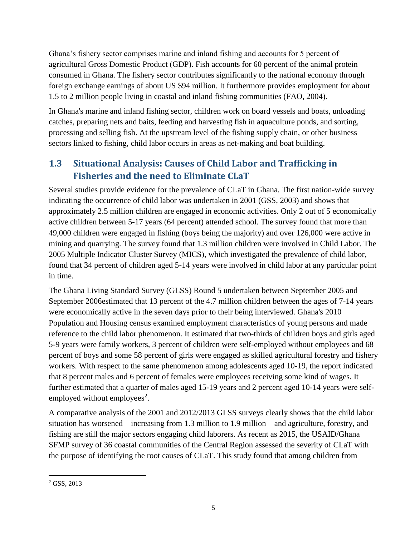Ghana's fishery sector comprises marine and inland fishing and accounts for 5 percent of agricultural Gross Domestic Product (GDP). Fish accounts for 60 percent of the animal protein consumed in Ghana. The fishery sector contributes significantly to the national economy through foreign exchange earnings of about US \$94 million. It furthermore provides employment for about 1.5 to 2 million people living in coastal and inland fishing communities (FAO, 2004).

In Ghana's marine and inland fishing sector, children work on board vessels and boats, unloading catches, preparing nets and baits, feeding and harvesting fish in aquaculture ponds, and sorting, processing and selling fish. At the upstream level of the fishing supply chain, or other business sectors linked to fishing, child labor occurs in areas as net-making and boat building.

# <span id="page-15-0"></span>**1.3 Situational Analysis: Causes of Child Labor and Trafficking in Fisheries and the need to Eliminate CLaT**

Several studies provide evidence for the prevalence of CLaT in Ghana. The first nation-wide survey indicating the occurrence of child labor was undertaken in 2001 (GSS, 2003) and shows that approximately 2.5 million children are engaged in economic activities. Only 2 out of 5 economically active children between 5-17 years (64 percent) attended school. The survey found that more than 49,000 children were engaged in fishing (boys being the majority) and over 126,000 were active in mining and quarrying. The survey found that 1.3 million children were involved in Child Labor. The 2005 Multiple Indicator Cluster Survey (MICS), which investigated the prevalence of child labor, found that 34 percent of children aged 5-14 years were involved in child labor at any particular point in time.

The Ghana Living Standard Survey (GLSS) Round 5 undertaken between September 2005 and September 2006estimated that 13 percent of the 4.7 million children between the ages of 7-14 years were economically active in the seven days prior to their being interviewed. Ghana's 2010 Population and Housing census examined employment characteristics of young persons and made reference to the child labor phenomenon. It estimated that two-thirds of children boys and girls aged 5-9 years were family workers, 3 percent of children were self-employed without employees and 68 percent of boys and some 58 percent of girls were engaged as skilled agricultural forestry and fishery workers. With respect to the same phenomenon among adolescents aged 10-19, the report indicated that 8 percent males and 6 percent of females were employees receiving some kind of wages. It further estimated that a quarter of males aged 15-19 years and 2 percent aged 10-14 years were selfemployed without employees<sup>2</sup>.

A comparative analysis of the 2001 and 2012/2013 GLSS surveys clearly shows that the child labor situation has worsened—increasing from 1.3 million to 1.9 million—and agriculture, forestry, and fishing are still the major sectors engaging child laborers. As recent as 2015, the USAID/Ghana SFMP survey of 36 coastal communities of the Central Region assessed the severity of CLaT with the purpose of identifying the root causes of CLaT. This study found that among children from

 $\overline{a}$  $2$  GSS, 2013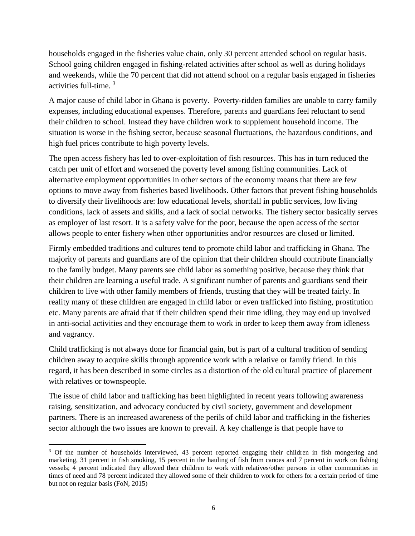households engaged in the fisheries value chain, only 30 percent attended school on regular basis. School going children engaged in fishing-related activities after school as well as during holidays and weekends, while the 70 percent that did not attend school on a regular basis engaged in fisheries activities full-time. 3

A major cause of child labor in Ghana is poverty. Poverty-ridden families are unable to carry family expenses, including educational expenses. Therefore, parents and guardians feel reluctant to send their children to school. Instead they have children work to supplement household income. The situation is worse in the fishing sector, because seasonal fluctuations, the hazardous conditions, and high fuel prices contribute to high poverty levels.

The open access fishery has led to over-exploitation of fish resources. This has in turn reduced the catch per unit of effort and worsened the poverty level among fishing communities. Lack of alternative employment opportunities in other sectors of the economy means that there are few options to move away from fisheries based livelihoods. Other factors that prevent fishing households to diversify their livelihoods are: low educational levels, shortfall in public services, low living conditions, lack of assets and skills, and a lack of social networks. The fishery sector basically serves as employer of last resort. It is a safety valve for the poor, because the open access of the sector allows people to enter fishery when other opportunities and/or resources are closed or limited.

Firmly embedded traditions and cultures tend to promote child labor and trafficking in Ghana. The majority of parents and guardians are of the opinion that their children should contribute financially to the family budget. Many parents see child labor as something positive, because they think that their children are learning a useful trade. A significant number of parents and guardians send their children to live with other family members of friends, trusting that they will be treated fairly. In reality many of these children are engaged in child labor or even trafficked into fishing, prostitution etc. Many parents are afraid that if their children spend their time idling, they may end up involved in anti-social activities and they encourage them to work in order to keep them away from idleness and vagrancy.

Child trafficking is not always done for financial gain, but is part of a cultural tradition of sending children away to acquire skills through apprentice work with a relative or family friend. In this regard, it has been described in some circles as a distortion of the old cultural practice of placement with relatives or townspeople.

The issue of child labor and trafficking has been highlighted in recent years following awareness raising, sensitization, and advocacy conducted by civil society, government and development partners. There is an increased awareness of the perils of child labor and trafficking in the fisheries sector although the two issues are known to prevail. A key challenge is that people have to

 $\overline{a}$ 

<sup>&</sup>lt;sup>3</sup> Of the number of households interviewed, 43 percent reported engaging their children in fish mongering and marketing, 31 percent in fish smoking, 15 percent in the hauling of fish from canoes and 7 percent in work on fishing vessels; 4 percent indicated they allowed their children to work with relatives/other persons in other communities in times of need and 78 percent indicated they allowed some of their children to work for others for a certain period of time but not on regular basis (FoN, 2015)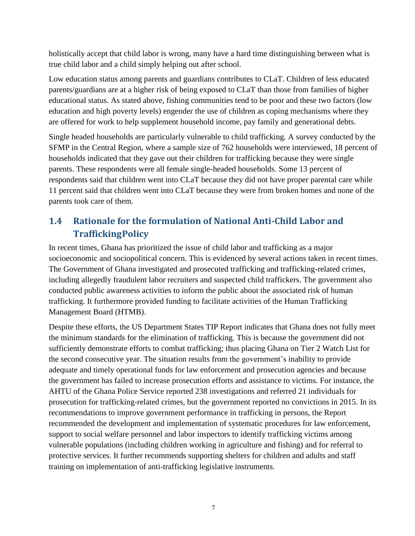holistically accept that child labor is wrong, many have a hard time distinguishing between what is true child labor and a child simply helping out after school.

Low education status among parents and guardians contributes to CLaT. Children of less educated parents/guardians are at a higher risk of being exposed to CLaT than those from families of higher educational status. As stated above, fishing communities tend to be poor and these two factors (low education and high poverty levels) engender the use of children as coping mechanisms where they are offered for work to help supplement household income, pay family and generational debts.

Single headed households are particularly vulnerable to child trafficking. A survey conducted by the SFMP in the Central Region, where a sample size of 762 households were interviewed, 18 percent of households indicated that they gave out their children for trafficking because they were single parents. These respondents were all female single-headed households. Some 13 percent of respondents said that children went into CLaT because they did not have proper parental care while 11 percent said that children went into CLaT because they were from broken homes and none of the parents took care of them.

# <span id="page-17-0"></span>**1.4 Rationale for the formulation of National Anti-Child Labor and TraffickingPolicy**

In recent times, Ghana has prioritized the issue of child labor and trafficking as a major socioeconomic and sociopolitical concern. This is evidenced by several actions taken in recent times. The Government of Ghana investigated and prosecuted trafficking and trafficking-related crimes, including allegedly fraudulent labor recruiters and suspected child traffickers. The government also conducted public awareness activities to inform the public about the associated risk of human trafficking. It furthermore provided funding to facilitate activities of the Human Trafficking Management Board (HTMB).

Despite these efforts, the US Department States TIP Report indicates that Ghana does not fully meet the minimum standards for the elimination of trafficking. This is because the government did not sufficiently demonstrate efforts to combat trafficking; thus placing Ghana on Tier 2 Watch List for the second consecutive year. The situation results from the government's inability to provide adequate and timely operational funds for law enforcement and prosecution agencies and because the government has failed to increase prosecution efforts and assistance to victims. For instance, the AHTU of the Ghana Police Service reported 238 investigations and referred 21 individuals for prosecution for trafficking-related crimes, but the government reported no convictions in 2015. In its recommendations to improve government performance in trafficking in persons, the Report recommended the development and implementation of systematic procedures for law enforcement, support to social welfare personnel and labor inspectors to identify trafficking victims among vulnerable populations (including children working in agriculture and fishing) and for referral to protective services. It further recommends supporting shelters for children and adults and staff training on implementation of anti-trafficking legislative instruments.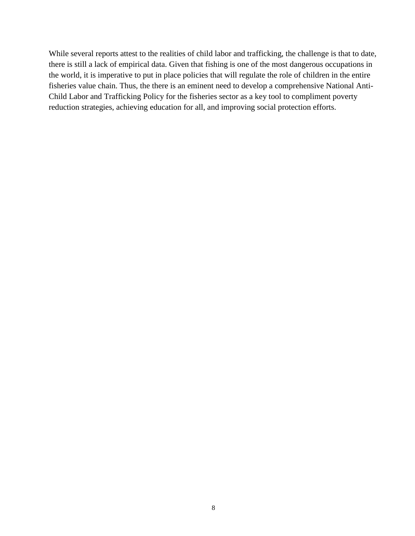While several reports attest to the realities of child labor and trafficking, the challenge is that to date, there is still a lack of empirical data. Given that fishing is one of the most dangerous occupations in the world, it is imperative to put in place policies that will regulate the role of children in the entire fisheries value chain. Thus, the there is an eminent need to develop a comprehensive National Anti-Child Labor and Trafficking Policy for the fisheries sector as a key tool to compliment poverty reduction strategies, achieving education for all, and improving social protection efforts.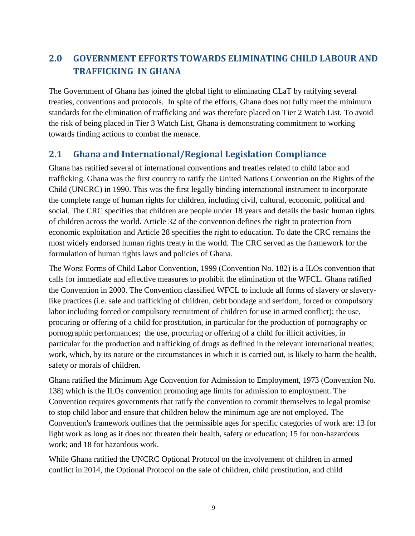# <span id="page-19-0"></span>**2.0 GOVERNMENT EFFORTS TOWARDS ELIMINATING CHILD LABOUR AND TRAFFICKING IN GHANA**

The Government of Ghana has joined the global fight to eliminating CLaT by ratifying several treaties, conventions and protocols. In spite of the efforts, Ghana does not fully meet the minimum standards for the elimination of trafficking and was therefore placed on Tier 2 Watch List. To avoid the risk of being placed in Tier 3 Watch List, Ghana is demonstrating commitment to working towards finding actions to combat the menace.

### <span id="page-19-1"></span>**2.1 Ghana and International/Regional Legislation Compliance**

Ghana has ratified several of international conventions and treaties related to child labor and trafficking. Ghana was the first country to ratify the United Nations Convention on the Rights of the Child (UNCRC) in 1990. This was the first legally binding international instrument to incorporate the complete range of human rights for children, including civil, cultural, economic, political and social. The CRC specifies that children are people under 18 years and details the basic human rights of children across the world. Article 32 of the convention defines the right to protection from economic exploitation and Article 28 specifies the right to education. To date the CRC remains the most widely endorsed human rights treaty in the world. The CRC served as the framework for the formulation of human rights laws and policies of Ghana.

The Worst Forms of Child Labor Convention, 1999 (Convention No. 182) is a ILOs convention that calls for immediate and effective measures to prohibit the elimination of the WFCL. Ghana ratified the Convention in 2000. The Convention classified WFCL to include all forms of slavery or slaverylike practices (i.e. sale and trafficking of children, debt bondage and serfdom, forced or compulsory labor including forced or compulsory recruitment of children for use in armed conflict); the use, procuring or offering of a child for prostitution, in particular for the production of pornography or pornographic performances; the use, procuring or offering of a child for illicit activities, in particular for the production and trafficking of drugs as defined in the relevant international treaties; work, which, by its nature or the circumstances in which it is carried out, is likely to harm the health, safety or morals of children.

Ghana ratified the Minimum Age Convention for Admission to Employment, 1973 (Convention No. 138) which is the ILOs convention promoting age limits for admission to employment. The Convention requires governments that ratify the convention to commit themselves to legal promise to stop child labor and ensure that children below the minimum age are not employed. The Convention's framework outlines that the permissible ages for specific categories of work are: 13 for light work as long as it does not threaten their health, safety or education; 15 for non-hazardous work; and 18 for hazardous work.

While Ghana ratified the UNCRC Optional Protocol on the involvement of children in armed conflict in 2014, the Optional Protocol on the sale of children, child prostitution, and child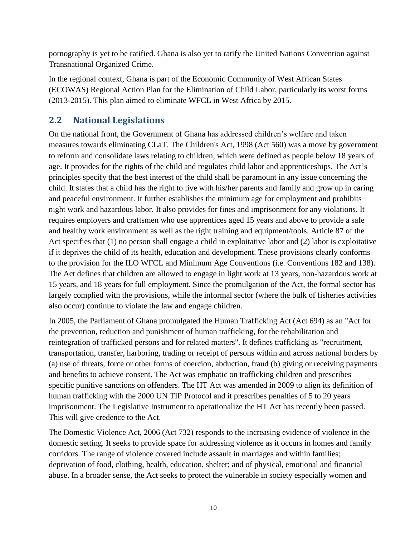pornography is yet to be ratified. Ghana is also yet to ratify the United Nations Convention against Transnational Organized Crime.

In the regional context, Ghana is part of the Economic Community of West African States (ECOWAS) Regional Action Plan for the Elimination of Child Labor, particularly its worst forms (2013-2015). This plan aimed to eliminate WFCL in West Africa by 2015.

# <span id="page-20-0"></span>**2.2 National Legislations**

On the national front, the Government of Ghana has addressed children's welfare and taken measures towards eliminating CLaT. The Children's Act, 1998 (Act 560) was a move by government to reform and consolidate laws relating to children, which were defined as people below 18 years of age. It provides for the rights of the child and regulates child labor and apprenticeships. The Act's principles specify that the best interest of the child shall be paramount in any issue concerning the child. It states that a child has the right to live with his/her parents and family and grow up in caring and peaceful environment. It further establishes the minimum age for employment and prohibits night work and hazardous labor. It also provides for fines and imprisonment for any violations. It requires employers and craftsmen who use apprentices aged 15 years and above to provide a safe and healthy work environment as well as the right training and equipment/tools. Article 87 of the Act specifies that (1) no person shall engage a child in exploitative labor and (2) labor is exploitative if it deprives the child of its health, education and development. These provisions clearly conforms to the provision for the ILO WFCL and Minimum Age Conventions (i.e. Conventions 182 and 138). The Act defines that children are allowed to engage in light work at 13 years, non-hazardous work at 15 years, and 18 years for full employment. Since the promulgation of the Act, the formal sector has largely complied with the provisions, while the informal sector (where the bulk of fisheries activities also occur) continue to violate the law and engage children.

In 2005, the Parliament of Ghana promulgated the Human Trafficking Act (Act 694) as an "Act for the prevention, reduction and punishment of human trafficking, for the rehabilitation and reintegration of trafficked persons and for related matters". It defines trafficking as "recruitment, transportation, transfer, harboring, trading or receipt of persons within and across national borders by (a) use of threats, force or other forms of coercion, abduction, fraud (b) giving or receiving payments and benefits to achieve consent. The Act was emphatic on trafficking children and prescribes specific punitive sanctions on offenders. The HT Act was amended in 2009 to align its definition of human trafficking with the 2000 UN TIP Protocol and it prescribes penalties of 5 to 20 years imprisonment. The Legislative Instrument to operationalize the HT Act has recently been passed. This will give credence to the Act.

The Domestic Violence Act, 2006 (Act 732) responds to the increasing evidence of violence in the domestic setting. It seeks to provide space for addressing violence as it occurs in homes and family corridors. The range of violence covered include assault in marriages and within families; deprivation of food, clothing, health, education, shelter; and of physical, emotional and financial abuse. In a broader sense, the Act seeks to protect the vulnerable in society especially women and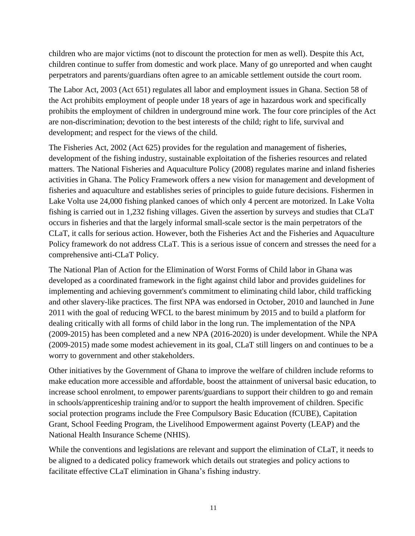children who are major victims (not to discount the protection for men as well). Despite this Act, children continue to suffer from domestic and work place. Many of go unreported and when caught perpetrators and parents/guardians often agree to an amicable settlement outside the court room.

The Labor Act, 2003 (Act 651) regulates all labor and employment issues in Ghana. Section 58 of the Act prohibits employment of people under 18 years of age in hazardous work and specifically prohibits the employment of children in underground mine work. The four core principles of the Act are non-discrimination; devotion to the best interests of the child; right to life, survival and development; and respect for the views of the child.

The Fisheries Act, 2002 (Act 625) provides for the regulation and management of fisheries, development of the fishing industry, sustainable exploitation of the fisheries resources and related matters. The National Fisheries and Aquaculture Policy (2008) regulates marine and inland fisheries activities in Ghana. The Policy Framework offers a new vision for management and development of fisheries and aquaculture and establishes series of principles to guide future decisions. Fishermen in Lake Volta use 24,000 fishing planked canoes of which only 4 percent are motorized. In Lake Volta fishing is carried out in 1,232 fishing villages. Given the assertion by surveys and studies that CLaT occurs in fisheries and that the largely informal small-scale sector is the main perpetrators of the CLaT, it calls for serious action. However, both the Fisheries Act and the Fisheries and Aquaculture Policy framework do not address CLaT. This is a serious issue of concern and stresses the need for a comprehensive anti-CLaT Policy.

The National Plan of Action for the Elimination of Worst Forms of Child labor in Ghana was developed as a coordinated framework in the fight against child labor and provides guidelines for implementing and achieving government's commitment to eliminating child labor, child trafficking and other slavery-like practices. The first NPA was endorsed in October, 2010 and launched in June 2011 with the goal of reducing WFCL to the barest minimum by 2015 and to build a platform for dealing critically with all forms of child labor in the long run. The implementation of the NPA (2009-2015) has been completed and a new NPA (2016-2020) is under development. While the NPA (2009-2015) made some modest achievement in its goal, CLaT still lingers on and continues to be a worry to government and other stakeholders.

Other initiatives by the Government of Ghana to improve the welfare of children include reforms to make education more accessible and affordable, boost the attainment of universal basic education, to increase school enrolment, to empower parents/guardians to support their children to go and remain in schools/apprenticeship training and/or to support the health improvement of children. Specific social protection programs include the Free Compulsory Basic Education (fCUBE), Capitation Grant, School Feeding Program, the Livelihood Empowerment against Poverty (LEAP) and the National Health Insurance Scheme (NHIS).

While the conventions and legislations are relevant and support the elimination of CLaT, it needs to be aligned to a dedicated policy framework which details out strategies and policy actions to facilitate effective CLaT elimination in Ghana's fishing industry.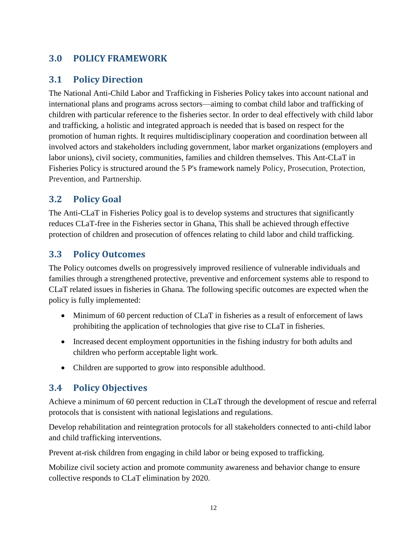# <span id="page-22-0"></span>**3.0 POLICY FRAMEWORK**

### <span id="page-22-1"></span>**3.1 Policy Direction**

The National Anti-Child Labor and Trafficking in Fisheries Policy takes into account national and international plans and programs across sectors—aiming to combat child labor and trafficking of children with particular reference to the fisheries sector. In order to deal effectively with child labor and trafficking, a holistic and integrated approach is needed that is based on respect for the promotion of human rights. It requires multidisciplinary cooperation and coordination between all involved actors and stakeholders including government, labor market organizations (employers and labor unions), civil society, communities, families and children themselves. This Ant-CLaT in Fisheries Policy is structured around the 5 P's framework namely Policy, Prosecution, Protection, Prevention, and Partnership.

# <span id="page-22-2"></span>**3.2 Policy Goal**

The Anti-CLaT in Fisheries Policy goal is to develop systems and structures that significantly reduces CLaT-free in the Fisheries sector in Ghana, This shall be achieved through effective protection of children and prosecution of offences relating to child labor and child trafficking.

# <span id="page-22-3"></span>**3.3 Policy Outcomes**

The Policy outcomes dwells on progressively improved resilience of vulnerable individuals and families through a strengthened protective, preventive and enforcement systems able to respond to CLaT related issues in fisheries in Ghana. The following specific outcomes are expected when the policy is fully implemented:

- Minimum of 60 percent reduction of CLaT in fisheries as a result of enforcement of laws prohibiting the application of technologies that give rise to CLaT in fisheries.
- Increased decent employment opportunities in the fishing industry for both adults and children who perform acceptable light work.
- Children are supported to grow into responsible adulthood.

### <span id="page-22-4"></span>**3.4 Policy Objectives**

Achieve a minimum of 60 percent reduction in CLaT through the development of rescue and referral protocols that is consistent with national legislations and regulations.

Develop rehabilitation and reintegration protocols for all stakeholders connected to anti-child labor and child trafficking interventions.

Prevent at-risk children from engaging in child labor or being exposed to trafficking.

Mobilize civil society action and promote community awareness and behavior change to ensure collective responds to CLaT elimination by 2020.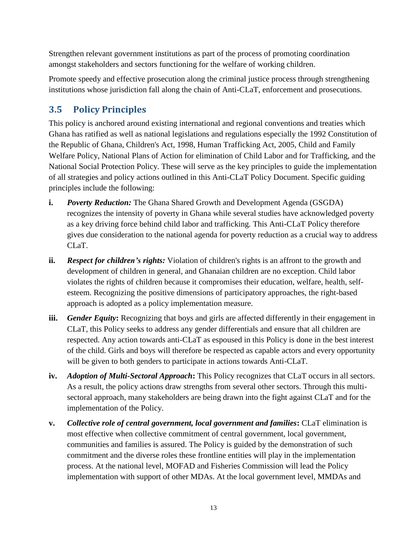Strengthen relevant government institutions as part of the process of promoting coordination amongst stakeholders and sectors functioning for the welfare of working children.

Promote speedy and effective prosecution along the criminal justice process through strengthening institutions whose jurisdiction fall along the chain of Anti-CLaT, enforcement and prosecutions.

# <span id="page-23-0"></span>**3.5 Policy Principles**

This policy is anchored around existing international and regional conventions and treaties which Ghana has ratified as well as national legislations and regulations especially the 1992 Constitution of the Republic of Ghana, Children's Act, 1998, Human Trafficking Act, 2005, Child and Family Welfare Policy, National Plans of Action for elimination of Child Labor and for Trafficking, and the National Social Protection Policy. These will serve as the key principles to guide the implementation of all strategies and policy actions outlined in this Anti-CLaT Policy Document. Specific guiding principles include the following:

- **i.** *Poverty Reduction:* The Ghana Shared Growth and Development Agenda (GSGDA) recognizes the intensity of poverty in Ghana while several studies have acknowledged poverty as a key driving force behind child labor and trafficking. This Anti-CLaT Policy therefore gives due consideration to the national agenda for poverty reduction as a crucial way to address CLaT.
- **ii.** *Respect for children's rights:* Violation of children's rights is an affront to the growth and development of children in general, and Ghanaian children are no exception. Child labor violates the rights of children because it compromises their education, welfare, health, selfesteem. Recognizing the positive dimensions of participatory approaches, the right-based approach is adopted as a policy implementation measure.
- **iii.** *Gender Equity*: Recognizing that boys and girls are affected differently in their engagement in CLaT, this Policy seeks to address any gender differentials and ensure that all children are respected. Any action towards anti-CLaT as espoused in this Policy is done in the best interest of the child. Girls and boys will therefore be respected as capable actors and every opportunity will be given to both genders to participate in actions towards Anti-CLaT.
- **iv.** *Adoption of Multi-Sectoral Approach***:** This Policy recognizes that CLaT occurs in all sectors. As a result, the policy actions draw strengths from several other sectors. Through this multisectoral approach, many stakeholders are being drawn into the fight against CLaT and for the implementation of the Policy.
- **v.** *Collective role of central government, local government and families***:** CLaT elimination is most effective when collective commitment of central government, local government, communities and families is assured. The Policy is guided by the demonstration of such commitment and the diverse roles these frontline entities will play in the implementation process. At the national level, MOFAD and Fisheries Commission will lead the Policy implementation with support of other MDAs. At the local government level, MMDAs and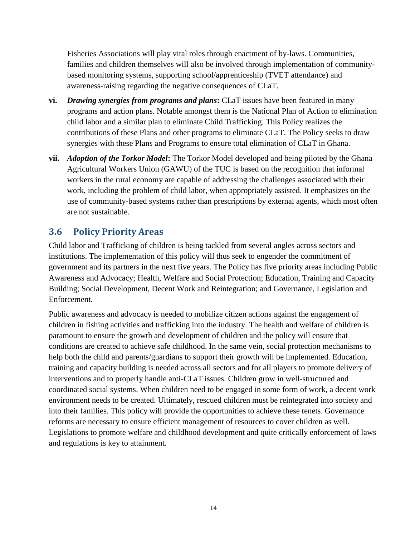Fisheries Associations will play vital roles through enactment of by-laws. Communities, families and children themselves will also be involved through implementation of communitybased monitoring systems, supporting school/apprenticeship (TVET attendance) and awareness-raising regarding the negative consequences of CLaT.

- **vi.** *Drawing synergies from programs and plans***:** CLaT issues have been featured in many programs and action plans. Notable amongst them is the National Plan of Action to elimination child labor and a similar plan to eliminate Child Trafficking. This Policy realizes the contributions of these Plans and other programs to eliminate CLaT. The Policy seeks to draw synergies with these Plans and Programs to ensure total elimination of CLaT in Ghana.
- **vii.** *Adoption of the Torkor Model***:** The Torkor Model developed and being piloted by the Ghana Agricultural Workers Union (GAWU) of the TUC is based on the recognition that informal workers in the rural economy are capable of addressing the challenges associated with their work, including the problem of child labor, when appropriately assisted. It emphasizes on the use of community-based systems rather than prescriptions by external agents, which most often are not sustainable.

# <span id="page-24-0"></span>**3.6 Policy Priority Areas**

Child labor and Trafficking of children is being tackled from several angles across sectors and institutions. The implementation of this policy will thus seek to engender the commitment of government and its partners in the next five years. The Policy has five priority areas including Public Awareness and Advocacy; Health, Welfare and Social Protection; Education, Training and Capacity Building; Social Development, Decent Work and Reintegration; and Governance, Legislation and Enforcement.

Public awareness and advocacy is needed to mobilize citizen actions against the engagement of children in fishing activities and trafficking into the industry. The health and welfare of children is paramount to ensure the growth and development of children and the policy will ensure that conditions are created to achieve safe childhood. In the same vein, social protection mechanisms to help both the child and parents/guardians to support their growth will be implemented. Education, training and capacity building is needed across all sectors and for all players to promote delivery of interventions and to properly handle anti-CLaT issues. Children grow in well-structured and coordinated social systems. When children need to be engaged in some form of work, a decent work environment needs to be created. Ultimately, rescued children must be reintegrated into society and into their families. This policy will provide the opportunities to achieve these tenets. Governance reforms are necessary to ensure efficient management of resources to cover children as well. Legislations to promote welfare and childhood development and quite critically enforcement of laws and regulations is key to attainment.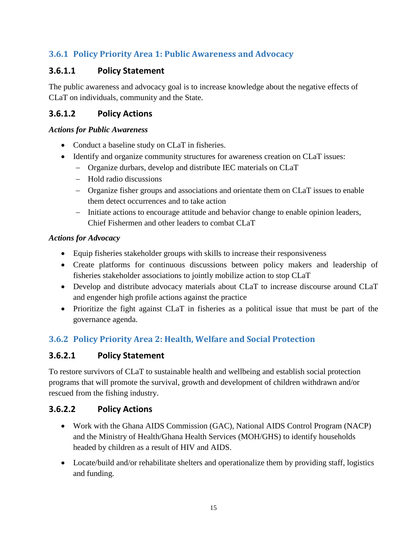# <span id="page-25-0"></span>**3.6.1 Policy Priority Area 1: Public Awareness and Advocacy**

### **3.6.1.1 Policy Statement**

The public awareness and advocacy goal is to increase knowledge about the negative effects of CLaT on individuals, community and the State.

#### **3.6.1.2 Policy Actions**

#### *Actions for Public Awareness*

- Conduct a baseline study on CLaT in fisheries.
- Identify and organize community structures for awareness creation on CLaT issues:
	- Organize durbars, develop and distribute IEC materials on CLaT
	- Hold radio discussions
	- Organize fisher groups and associations and orientate them on CLaT issues to enable them detect occurrences and to take action
	- Initiate actions to encourage attitude and behavior change to enable opinion leaders, Chief Fishermen and other leaders to combat CLaT

#### *Actions for Advocacy*

- Equip fisheries stakeholder groups with skills to increase their responsiveness
- Create platforms for continuous discussions between policy makers and leadership of fisheries stakeholder associations to jointly mobilize action to stop CLaT
- Develop and distribute advocacy materials about CLaT to increase discourse around CLaT and engender high profile actions against the practice
- Prioritize the fight against CLaT in fisheries as a political issue that must be part of the governance agenda.

### <span id="page-25-1"></span>**3.6.2 Policy Priority Area 2: Health, Welfare and Social Protection**

### **3.6.2.1 Policy Statement**

To restore survivors of CLaT to sustainable health and wellbeing and establish social protection programs that will promote the survival, growth and development of children withdrawn and/or rescued from the fishing industry.

#### **3.6.2.2 Policy Actions**

- Work with the Ghana AIDS Commission (GAC), National AIDS Control Program (NACP) and the Ministry of Health/Ghana Health Services (MOH/GHS) to identify households headed by children as a result of HIV and AIDS.
- Locate/build and/or rehabilitate shelters and operationalize them by providing staff, logistics and funding.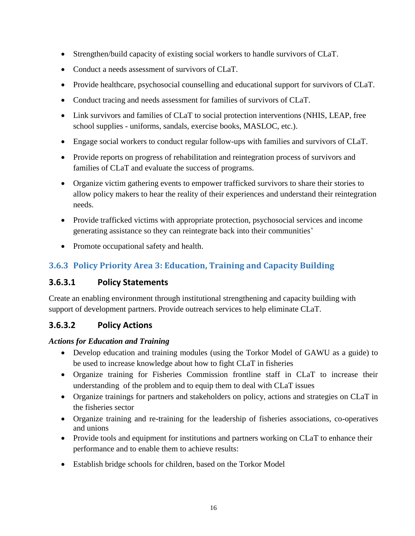- Strengthen/build capacity of existing social workers to handle survivors of CLaT.
- Conduct a needs assessment of survivors of CLaT.
- Provide healthcare, psychosocial counselling and educational support for survivors of CLaT.
- Conduct tracing and needs assessment for families of survivors of CLaT.
- Link survivors and families of CLaT to social protection interventions (NHIS, LEAP, free school supplies - uniforms, sandals, exercise books, MASLOC, etc.).
- Engage social workers to conduct regular follow-ups with families and survivors of CLaT.
- Provide reports on progress of rehabilitation and reintegration process of survivors and families of CLaT and evaluate the success of programs.
- Organize victim gathering events to empower trafficked survivors to share their stories to allow policy makers to hear the reality of their experiences and understand their reintegration needs.
- Provide trafficked victims with appropriate protection, psychosocial services and income generating assistance so they can reintegrate back into their communities'
- Promote occupational safety and health.

# <span id="page-26-0"></span>**3.6.3 Policy Priority Area 3: Education, Training and Capacity Building**

### **3.6.3.1 Policy Statements**

Create an enabling environment through institutional strengthening and capacity building with support of development partners. Provide outreach services to help eliminate CLaT.

### **3.6.3.2 Policy Actions**

#### *Actions for Education and Training*

- Develop education and training modules (using the Torkor Model of GAWU as a guide) to be used to increase knowledge about how to fight CLaT in fisheries
- Organize training for Fisheries Commission frontline staff in CLaT to increase their understanding of the problem and to equip them to deal with CLaT issues
- Organize trainings for partners and stakeholders on policy, actions and strategies on CLaT in the fisheries sector
- Organize training and re-training for the leadership of fisheries associations, co-operatives and unions
- Provide tools and equipment for institutions and partners working on CLaT to enhance their performance and to enable them to achieve results:
- Establish bridge schools for children, based on the Torkor Model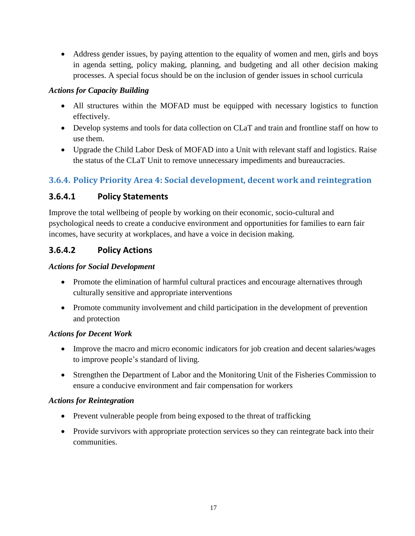• Address gender issues, by paying attention to the equality of women and men, girls and boys in agenda setting, policy making, planning, and budgeting and all other decision making processes. A special focus should be on the inclusion of gender issues in school curricula

#### *Actions for Capacity Building*

- All structures within the MOFAD must be equipped with necessary logistics to function effectively.
- Develop systems and tools for data collection on CLaT and train and frontline staff on how to use them.
- Upgrade the Child Labor Desk of MOFAD into a Unit with relevant staff and logistics. Raise the status of the CLaT Unit to remove unnecessary impediments and bureaucracies.

### <span id="page-27-0"></span>**3.6.4. Policy Priority Area 4: Social development, decent work and reintegration**

### **3.6.4.1 Policy Statements**

Improve the total wellbeing of people by working on their economic, socio-cultural and psychological needs to create a conducive environment and opportunities for families to earn fair incomes, have security at workplaces, and have a voice in decision making.

### **3.6.4.2 Policy Actions**

#### *Actions for Social Development*

- Promote the elimination of harmful cultural practices and encourage alternatives through culturally sensitive and appropriate interventions
- Promote community involvement and child participation in the development of prevention and protection

#### *Actions for Decent Work*

- Improve the macro and micro economic indicators for job creation and decent salaries/wages to improve people's standard of living.
- Strengthen the Department of Labor and the Monitoring Unit of the Fisheries Commission to ensure a conducive environment and fair compensation for workers

#### *Actions for Reintegration*

- Prevent vulnerable people from being exposed to the threat of trafficking
- Provide survivors with appropriate protection services so they can reintegrate back into their communities.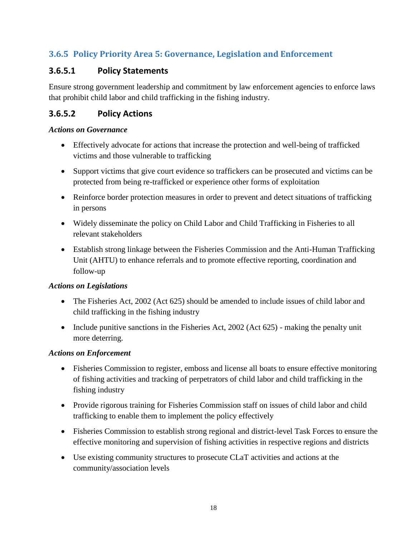### <span id="page-28-0"></span>**3.6.5 Policy Priority Area 5: Governance, Legislation and Enforcement**

### **3.6.5.1 Policy Statements**

Ensure strong government leadership and commitment by law enforcement agencies to enforce laws that prohibit child labor and child trafficking in the fishing industry.

### **3.6.5.2 Policy Actions**

#### *Actions on Governance*

- Effectively advocate for actions that increase the protection and well-being of trafficked victims and those vulnerable to trafficking
- Support victims that give court evidence so traffickers can be prosecuted and victims can be protected from being re-trafficked or experience other forms of exploitation
- Reinforce border protection measures in order to prevent and detect situations of trafficking in persons
- Widely disseminate the policy on Child Labor and Child Trafficking in Fisheries to all relevant stakeholders
- Establish strong linkage between the Fisheries Commission and the Anti-Human Trafficking Unit (AHTU) to enhance referrals and to promote effective reporting, coordination and follow-up

#### *Actions on Legislations*

- The Fisheries Act, 2002 (Act 625) should be amended to include issues of child labor and child trafficking in the fishing industry
- Include punitive sanctions in the Fisheries Act, 2002 (Act 625) making the penalty unit more deterring.

#### *Actions on Enforcement*

- Fisheries Commission to register, emboss and license all boats to ensure effective monitoring of fishing activities and tracking of perpetrators of child labor and child trafficking in the fishing industry
- Provide rigorous training for Fisheries Commission staff on issues of child labor and child trafficking to enable them to implement the policy effectively
- Fisheries Commission to establish strong regional and district-level Task Forces to ensure the effective monitoring and supervision of fishing activities in respective regions and districts
- Use existing community structures to prosecute CLaT activities and actions at the community/association levels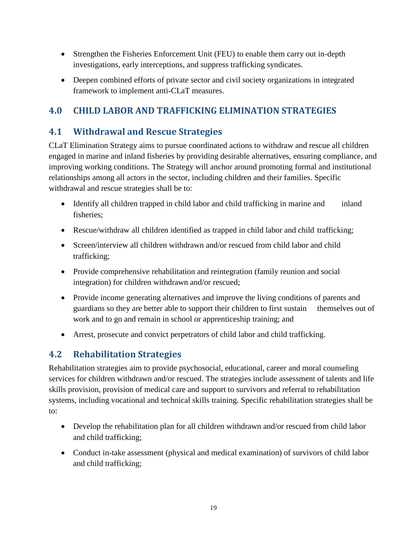- Strengthen the Fisheries Enforcement Unit (FEU) to enable them carry out in-depth investigations, early interceptions, and suppress trafficking syndicates.
- Deepen combined efforts of private sector and civil society organizations in integrated framework to implement anti-CLaT measures.

# <span id="page-29-0"></span>**4.0 CHILD LABOR AND TRAFFICKING ELIMINATION STRATEGIES**

### <span id="page-29-1"></span>**4.1 Withdrawal and Rescue Strategies**

CLaT Elimination Strategy aims to pursue coordinated actions to withdraw and rescue all children engaged in marine and inland fisheries by providing desirable alternatives, ensuring compliance, and improving working conditions. The Strategy will anchor around promoting formal and institutional relationships among all actors in the sector, including children and their families. Specific withdrawal and rescue strategies shall be to:

- Identify all children trapped in child labor and child trafficking in marine and inland fisheries;
- Rescue/withdraw all children identified as trapped in child labor and child trafficking;
- Screen/interview all children withdrawn and/or rescued from child labor and child trafficking;
- Provide comprehensive rehabilitation and reintegration (family reunion and social integration) for children withdrawn and/or rescued;
- Provide income generating alternatives and improve the living conditions of parents and guardians so they are better able to support their children to first sustain themselves out of work and to go and remain in school or apprenticeship training; and
- Arrest, prosecute and convict perpetrators of child labor and child trafficking.

# <span id="page-29-2"></span>**4.2 Rehabilitation Strategies**

Rehabilitation strategies aim to provide psychosocial, educational, career and moral counseling services for children withdrawn and/or rescued. The strategies include assessment of talents and life skills provision, provision of medical care and support to survivors and referral to rehabilitation systems, including vocational and technical skills training. Specific rehabilitation strategies shall be to:

- Develop the rehabilitation plan for all children withdrawn and/or rescued from child labor and child trafficking;
- Conduct in-take assessment (physical and medical examination) of survivors of child labor and child trafficking;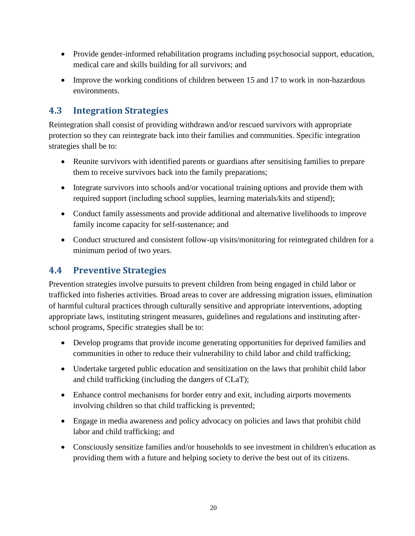- Provide gender-informed rehabilitation programs including psychosocial support, education, medical care and skills building for all survivors; and
- Improve the working conditions of children between 15 and 17 to work in non-hazardous environments.

# <span id="page-30-0"></span>**4.3 Integration Strategies**

Reintegration shall consist of providing withdrawn and/or rescued survivors with appropriate protection so they can reintegrate back into their families and communities. Specific integration strategies shall be to:

- Reunite survivors with identified parents or guardians after sensitising families to prepare them to receive survivors back into the family preparations;
- Integrate survivors into schools and/or vocational training options and provide them with required support (including school supplies, learning materials/kits and stipend);
- Conduct family assessments and provide additional and alternative livelihoods to improve family income capacity for self-sustenance; and
- Conduct structured and consistent follow-up visits/monitoring for reintegrated children for a minimum period of two years.

### <span id="page-30-1"></span>**4.4 Preventive Strategies**

Prevention strategies involve pursuits to prevent children from being engaged in child labor or trafficked into fisheries activities. Broad areas to cover are addressing migration issues, elimination of harmful cultural practices through culturally sensitive and appropriate interventions, adopting appropriate laws, instituting stringent measures, guidelines and regulations and instituting afterschool programs, Specific strategies shall be to:

- Develop programs that provide income generating opportunities for deprived families and communities in other to reduce their vulnerability to child labor and child trafficking;
- Undertake targeted public education and sensitization on the laws that prohibit child labor and child trafficking (including the dangers of CLaT);
- Enhance control mechanisms for border entry and exit, including airports movements involving children so that child trafficking is prevented;
- Engage in media awareness and policy advocacy on policies and laws that prohibit child labor and child trafficking; and
- Consciously sensitize families and/or households to see investment in children's education as providing them with a future and helping society to derive the best out of its citizens.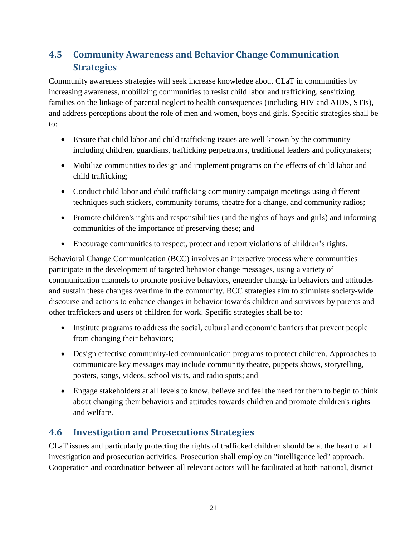# <span id="page-31-0"></span>**4.5 Community Awareness and Behavior Change Communication Strategies**

Community awareness strategies will seek increase knowledge about CLaT in communities by increasing awareness, mobilizing communities to resist child labor and trafficking, sensitizing families on the linkage of parental neglect to health consequences (including HIV and AIDS, STIs), and address perceptions about the role of men and women, boys and girls. Specific strategies shall be to:

- Ensure that child labor and child trafficking issues are well known by the community including children, guardians, trafficking perpetrators, traditional leaders and policymakers;
- Mobilize communities to design and implement programs on the effects of child labor and child trafficking;
- Conduct child labor and child trafficking community campaign meetings using different techniques such stickers, community forums, theatre for a change, and community radios;
- Promote children's rights and responsibilities (and the rights of boys and girls) and informing communities of the importance of preserving these; and
- Encourage communities to respect, protect and report violations of children's rights.

Behavioral Change Communication (BCC) involves an interactive process where communities participate in the development of targeted behavior change messages, using a variety of communication channels to promote positive behaviors, engender change in behaviors and attitudes and sustain these changes overtime in the community. BCC strategies aim to stimulate society-wide discourse and actions to enhance changes in behavior towards children and survivors by parents and other traffickers and users of children for work. Specific strategies shall be to:

- Institute programs to address the social, cultural and economic barriers that prevent people from changing their behaviors;
- Design effective community-led communication programs to protect children. Approaches to communicate key messages may include community theatre, puppets shows, storytelling, posters, songs, videos, school visits, and radio spots; and
- Engage stakeholders at all levels to know, believe and feel the need for them to begin to think about changing their behaviors and attitudes towards children and promote children's rights and welfare.

# <span id="page-31-1"></span>**4.6 Investigation and Prosecutions Strategies**

CLaT issues and particularly protecting the rights of trafficked children should be at the heart of all investigation and prosecution activities. Prosecution shall employ an "intelligence led" approach. Cooperation and coordination between all relevant actors will be facilitated at both national, district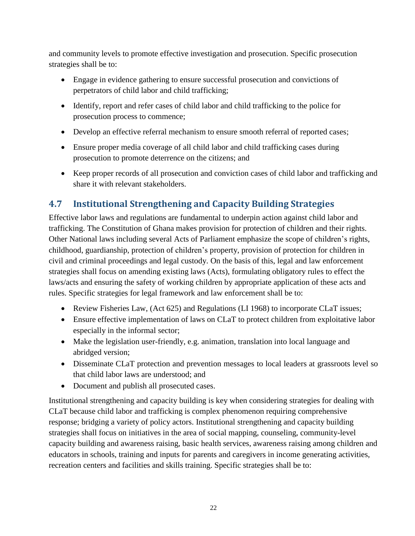and community levels to promote effective investigation and prosecution. Specific prosecution strategies shall be to:

- Engage in evidence gathering to ensure successful prosecution and convictions of perpetrators of child labor and child trafficking;
- Identify, report and refer cases of child labor and child trafficking to the police for prosecution process to commence;
- Develop an effective referral mechanism to ensure smooth referral of reported cases;
- Ensure proper media coverage of all child labor and child trafficking cases during prosecution to promote deterrence on the citizens; and
- Keep proper records of all prosecution and conviction cases of child labor and trafficking and share it with relevant stakeholders.

# <span id="page-32-0"></span>**4.7 Institutional Strengthening and Capacity Building Strategies**

Effective labor laws and regulations are fundamental to underpin action against child labor and trafficking. The Constitution of Ghana makes provision for protection of children and their rights. Other National laws including several Acts of Parliament emphasize the scope of children's rights, childhood, guardianship, protection of children's property, provision of protection for children in civil and criminal proceedings and legal custody. On the basis of this, legal and law enforcement strategies shall focus on amending existing laws (Acts), formulating obligatory rules to effect the laws/acts and ensuring the safety of working children by appropriate application of these acts and rules. Specific strategies for legal framework and law enforcement shall be to:

- Review Fisheries Law, (Act 625) and Regulations (LI 1968) to incorporate CLaT issues;
- Ensure effective implementation of laws on CLaT to protect children from exploitative labor especially in the informal sector;
- Make the legislation user-friendly, e.g. animation, translation into local language and abridged version;
- Disseminate CLaT protection and prevention messages to local leaders at grassroots level so that child labor laws are understood; and
- Document and publish all prosecuted cases.

Institutional strengthening and capacity building is key when considering strategies for dealing with CLaT because child labor and trafficking is complex phenomenon requiring comprehensive response; bridging a variety of policy actors. Institutional strengthening and capacity building strategies shall focus on initiatives in the area of social mapping, counseling, community-level capacity building and awareness raising, basic health services, awareness raising among children and educators in schools, training and inputs for parents and caregivers in income generating activities, recreation centers and facilities and skills training. Specific strategies shall be to: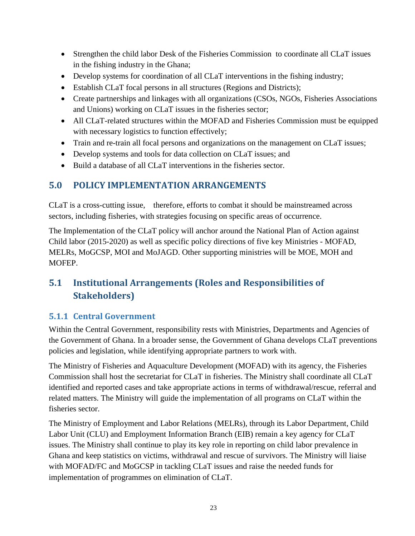- Strengthen the child labor Desk of the Fisheries Commission to coordinate all CLaT issues in the fishing industry in the Ghana;
- Develop systems for coordination of all CLaT interventions in the fishing industry;
- Establish CLaT focal persons in all structures (Regions and Districts);
- Create partnerships and linkages with all organizations (CSOs, NGOs, Fisheries Associations and Unions) working on CLaT issues in the fisheries sector;
- All CLaT-related structures within the MOFAD and Fisheries Commission must be equipped with necessary logistics to function effectively;
- Train and re-train all focal persons and organizations on the management on CLaT issues;
- Develop systems and tools for data collection on CLaT issues; and
- Build a database of all CLaT interventions in the fisheries sector.

# <span id="page-33-0"></span>**5.0 POLICY IMPLEMENTATION ARRANGEMENTS**

CLaT is a cross-cutting issue, therefore, efforts to combat it should be mainstreamed across sectors, including fisheries, with strategies focusing on specific areas of occurrence.

The Implementation of the CLaT policy will anchor around the National Plan of Action against Child labor (2015-2020) as well as specific policy directions of five key Ministries - MOFAD, MELRs, MoGCSP, MOI and MoJAGD. Other supporting ministries will be MOE, MOH and MOFEP.

# <span id="page-33-1"></span>**5.1 Institutional Arrangements (Roles and Responsibilities of Stakeholders)**

### <span id="page-33-2"></span>**5.1.1 Central Government**

Within the Central Government, responsibility rests with Ministries, Departments and Agencies of the Government of Ghana. In a broader sense, the Government of Ghana develops CLaT preventions policies and legislation, while identifying appropriate partners to work with.

The Ministry of Fisheries and Aquaculture Development (MOFAD) with its agency, the Fisheries Commission shall host the secretariat for CLaT in fisheries. The Ministry shall coordinate all CLaT identified and reported cases and take appropriate actions in terms of withdrawal/rescue, referral and related matters. The Ministry will guide the implementation of all programs on CLaT within the fisheries sector.

The Ministry of Employment and Labor Relations (MELRs), through its Labor Department, Child Labor Unit (CLU) and Employment Information Branch (EIB) remain a key agency for CLaT issues. The Ministry shall continue to play its key role in reporting on child labor prevalence in Ghana and keep statistics on victims, withdrawal and rescue of survivors. The Ministry will liaise with MOFAD/FC and MoGCSP in tackling CLaT issues and raise the needed funds for implementation of programmes on elimination of CLaT.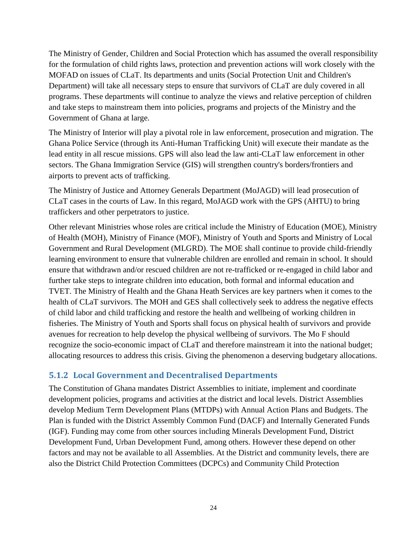The Ministry of Gender, Children and Social Protection which has assumed the overall responsibility for the formulation of child rights laws, protection and prevention actions will work closely with the MOFAD on issues of CLaT. Its departments and units (Social Protection Unit and Children's Department) will take all necessary steps to ensure that survivors of CLaT are duly covered in all programs. These departments will continue to analyze the views and relative perception of children and take steps to mainstream them into policies, programs and projects of the Ministry and the Government of Ghana at large.

The Ministry of Interior will play a pivotal role in law enforcement, prosecution and migration. The Ghana Police Service (through its Anti-Human Trafficking Unit) will execute their mandate as the lead entity in all rescue missions. GPS will also lead the law anti-CLaT law enforcement in other sectors. The Ghana Immigration Service (GIS) will strengthen country's borders/frontiers and airports to prevent acts of trafficking.

The Ministry of Justice and Attorney Generals Department (MoJAGD) will lead prosecution of CLaT cases in the courts of Law. In this regard, MoJAGD work with the GPS (AHTU) to bring traffickers and other perpetrators to justice.

Other relevant Ministries whose roles are critical include the Ministry of Education (MOE), Ministry of Health (MOH), Ministry of Finance (MOF), Ministry of Youth and Sports and Ministry of Local Government and Rural Development (MLGRD). The MOE shall continue to provide child-friendly learning environment to ensure that vulnerable children are enrolled and remain in school. It should ensure that withdrawn and/or rescued children are not re-trafficked or re-engaged in child labor and further take steps to integrate children into education, both formal and informal education and TVET. The Ministry of Health and the Ghana Heath Services are key partners when it comes to the health of CLaT survivors. The MOH and GES shall collectively seek to address the negative effects of child labor and child trafficking and restore the health and wellbeing of working children in fisheries. The Ministry of Youth and Sports shall focus on physical health of survivors and provide avenues for recreation to help develop the physical wellbeing of survivors. The Mo F should recognize the socio-economic impact of CLaT and therefore mainstream it into the national budget; allocating resources to address this crisis. Giving the phenomenon a deserving budgetary allocations.

#### <span id="page-34-0"></span>**5.1.2 Local Government and Decentralised Departments**

The Constitution of Ghana mandates District Assemblies to initiate, implement and coordinate development policies, programs and activities at the district and local levels. District Assemblies develop Medium Term Development Plans (MTDPs) with Annual Action Plans and Budgets. The Plan is funded with the District Assembly Common Fund (DACF) and Internally Generated Funds (IGF). Funding may come from other sources including Minerals Development Fund, District Development Fund, Urban Development Fund, among others. However these depend on other factors and may not be available to all Assemblies. At the District and community levels, there are also the District Child Protection Committees (DCPCs) and Community Child Protection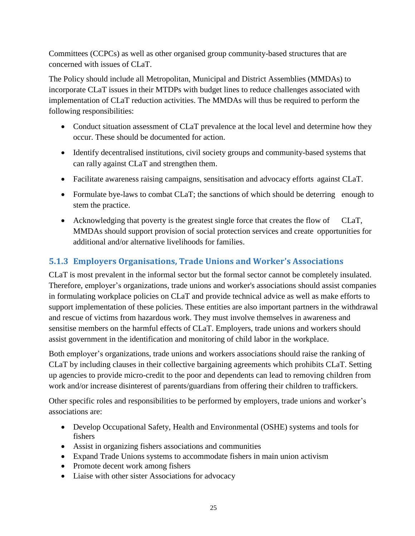Committees (CCPCs) as well as other organised group community-based structures that are concerned with issues of CLaT.

The Policy should include all Metropolitan, Municipal and District Assemblies (MMDAs) to incorporate CLaT issues in their MTDPs with budget lines to reduce challenges associated with implementation of CLaT reduction activities. The MMDAs will thus be required to perform the following responsibilities:

- Conduct situation assessment of CLaT prevalence at the local level and determine how they occur. These should be documented for action.
- Identify decentralised institutions, civil society groups and community-based systems that can rally against CLaT and strengthen them.
- Facilitate awareness raising campaigns, sensitisation and advocacy efforts against CLaT.
- Formulate bye-laws to combat CLaT; the sanctions of which should be deterring enough to stem the practice.
- Acknowledging that poverty is the greatest single force that creates the flow of CLaT, MMDAs should support provision of social protection services and create opportunities for additional and/or alternative livelihoods for families.

# <span id="page-35-0"></span>**5.1.3 Employers Organisations, Trade Unions and Worker's Associations**

CLaT is most prevalent in the informal sector but the formal sector cannot be completely insulated. Therefore, employer's organizations, trade unions and worker's associations should assist companies in formulating workplace policies on CLaT and provide technical advice as well as make efforts to support implementation of these policies. These entities are also important partners in the withdrawal and rescue of victims from hazardous work. They must involve themselves in awareness and sensitise members on the harmful effects of CLaT. Employers, trade unions and workers should assist government in the identification and monitoring of child labor in the workplace.

Both employer's organizations, trade unions and workers associations should raise the ranking of CLaT by including clauses in their collective bargaining agreements which prohibits CLaT. Setting up agencies to provide micro-credit to the poor and dependents can lead to removing children from work and/or increase disinterest of parents/guardians from offering their children to traffickers.

Other specific roles and responsibilities to be performed by employers, trade unions and worker's associations are:

- Develop Occupational Safety, Health and Environmental (OSHE) systems and tools for fishers
- Assist in organizing fishers associations and communities
- Expand Trade Unions systems to accommodate fishers in main union activism
- Promote decent work among fishers
- Liaise with other sister Associations for advocacy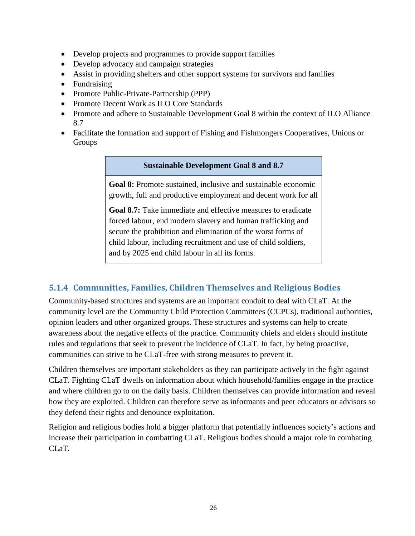- Develop projects and programmes to provide support families
- Develop advocacy and campaign strategies
- Assist in providing shelters and other support systems for survivors and families
- Fundraising
- Promote Public-Private-Partnership (PPP)
- Promote Decent Work as ILO Core Standards
- Promote and adhere to Sustainable Development Goal 8 within the context of ILO Alliance 8.7
- Facilitate the formation and support of Fishing and Fishmongers Cooperatives, Unions or Groups

#### **Sustainable Development Goal 8 and 8.7**

**Goal 8:** Promote sustained, inclusive and sustainable economic growth, full and productive employment and decent work for all

**Goal 8.7:** Take immediate and effective measures to eradicate forced labour, end modern slavery and human trafficking and secure the prohibition and elimination of the worst forms of child labour, including recruitment and use of child soldiers, and by 2025 end child labour in all its forms.

### <span id="page-36-0"></span>**5.1.4 Communities, Families, Children Themselves and Religious Bodies**

Community-based structures and systems are an important conduit to deal with CLaT. At the community level are the Community Child Protection Committees (CCPCs), traditional authorities, opinion leaders and other organized groups. These structures and systems can help to create awareness about the negative effects of the practice. Community chiefs and elders should institute rules and regulations that seek to prevent the incidence of CLaT. In fact, by being proactive, communities can strive to be CLaT-free with strong measures to prevent it.

Children themselves are important stakeholders as they can participate actively in the fight against CLaT. Fighting CLaT dwells on information about which household/families engage in the practice and where children go to on the daily basis. Children themselves can provide information and reveal how they are exploited. Children can therefore serve as informants and peer educators or advisors so they defend their rights and denounce exploitation.

Religion and religious bodies hold a bigger platform that potentially influences society's actions and increase their participation in combatting CLaT. Religious bodies should a major role in combating CL<sub>a</sub>T.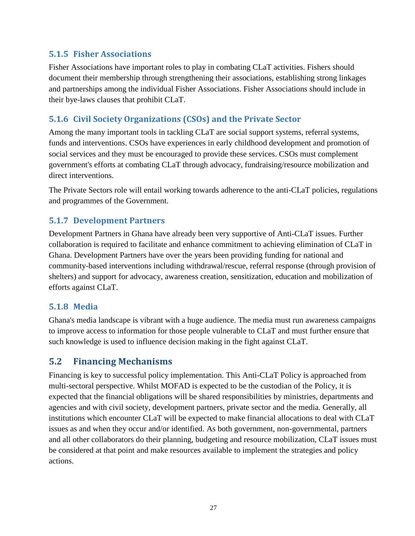#### <span id="page-37-0"></span>**5.1.5 Fisher Associations**

Fisher Associations have important roles to play in combating CLaT activities. Fishers should document their membership through strengthening their associations, establishing strong linkages and partnerships among the individual Fisher Associations. Fisher Associations should include in their bye-laws clauses that prohibit CLaT.

### <span id="page-37-1"></span>**5.1.6 Civil Society Organizations (CSOs) and the Private Sector**

Among the many important tools in tackling CLaT are social support systems, referral systems, funds and interventions. CSOs have experiences in early childhood development and promotion of social services and they must be encouraged to provide these services. CSOs must complement government's efforts at combating CLaT through advocacy, fundraising/resource mobilization and direct interventions.

The Private Sectors role will entail working towards adherence to the anti-CLaT policies, regulations and programmes of the Government.

### <span id="page-37-2"></span>**5.1.7 Development Partners**

Development Partners in Ghana have already been very supportive of Anti-CLaT issues. Further collaboration is required to facilitate and enhance commitment to achieving elimination of CLaT in Ghana. Development Partners have over the years been providing funding for national and community-based interventions including withdrawal/rescue, referral response (through provision of shelters) and support for advocacy, awareness creation, sensitization, education and mobilization of efforts against CLaT.

### <span id="page-37-3"></span>**5.1.8 Media**

Ghana's media landscape is vibrant with a huge audience. The media must run awareness campaigns to improve access to information for those people vulnerable to CLaT and must further ensure that such knowledge is used to influence decision making in the fight against CLaT.

### <span id="page-37-4"></span>**5.2 Financing Mechanisms**

Financing is key to successful policy implementation. This Anti-CLaT Policy is approached from multi-sectoral perspective. Whilst MOFAD is expected to be the custodian of the Policy, it is expected that the financial obligations will be shared responsibilities by ministries, departments and agencies and with civil society, development partners, private sector and the media. Generally, all institutions which encounter CLaT will be expected to make financial allocations to deal with CLaT issues as and when they occur and/or identified. As both government, non-governmental, partners and all other collaborators do their planning, budgeting and resource mobilization, CLaT issues must be considered at that point and make resources available to implement the strategies and policy actions.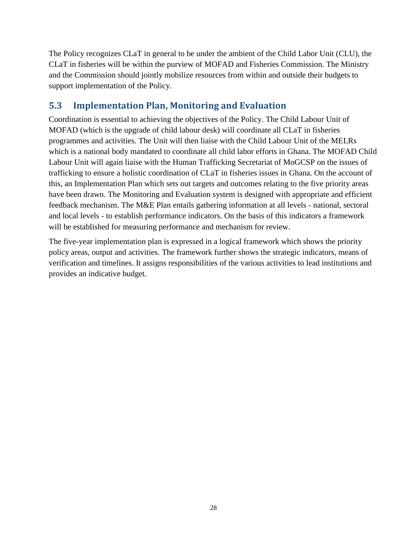The Policy recognizes CLaT in general to be under the ambient of the Child Labor Unit (CLU), the CLaT in fisheries will be within the purview of MOFAD and Fisheries Commission. The Ministry and the Commission should jointly mobilize resources from within and outside their budgets to support implementation of the Policy.

# <span id="page-38-0"></span>**5.3 Implementation Plan, Monitoring and Evaluation**

Coordination is essential to achieving the objectives of the Policy. The Child Labour Unit of MOFAD (which is the upgrade of child labour desk) will coordinate all CLaT in fisheries programmes and activities. The Unit will then liaise with the Child Labour Unit of the MELRs which is a national body mandated to coordinate all child labor efforts in Ghana. The MOFAD Child Labour Unit will again liaise with the Human Trafficking Secretariat of MoGCSP on the issues of trafficking to ensure a holistic coordination of CLaT in fisheries issues in Ghana. On the account of this, an Implementation Plan which sets out targets and outcomes relating to the five priority areas have been drawn. The Monitoring and Evaluation system is designed with appropriate and efficient feedback mechanism. The M&E Plan entails gathering information at all levels - national, sectoral and local levels - to establish performance indicators. On the basis of this indicators a framework will be established for measuring performance and mechanism for review.

The five-year implementation plan is expressed in a logical framework which shows the priority policy areas, output and activities. The framework further shows the strategic indicators, means of verification and timelines. It assigns responsibilities of the various activities to lead institutions and provides an indicative budget.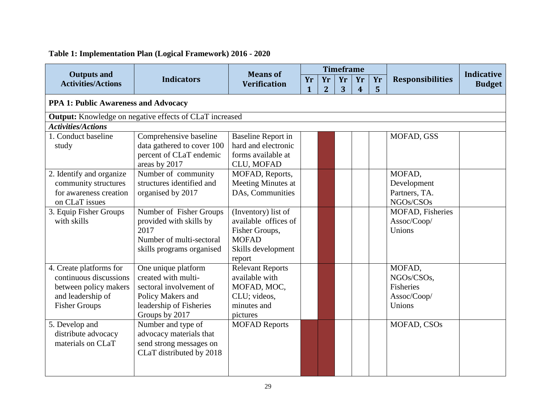# **Table 1: Implementation Plan (Logical Framework) 2016 - 2020**

<span id="page-39-0"></span>

|                                                                                                                         |                                                                                                                                         | <b>Means of</b>                                                                                               |         |                      | <b>Timeframe</b> |                      |                      |                                                                   | <b>Indicative</b> |  |  |
|-------------------------------------------------------------------------------------------------------------------------|-----------------------------------------------------------------------------------------------------------------------------------------|---------------------------------------------------------------------------------------------------------------|---------|----------------------|------------------|----------------------|----------------------|-------------------------------------------------------------------|-------------------|--|--|
| <b>Outputs and</b><br><b>Activities/Actions</b>                                                                         | <b>Indicators</b>                                                                                                                       | <b>Verification</b>                                                                                           | Yr<br>1 | Yr<br>$\overline{2}$ | Yr<br>3          | Yr<br>$\overline{4}$ | Yr<br>$5\phantom{1}$ | <b>Responsibilities</b>                                           | <b>Budget</b>     |  |  |
|                                                                                                                         | PPA 1: Public Awareness and Advocacy                                                                                                    |                                                                                                               |         |                      |                  |                      |                      |                                                                   |                   |  |  |
|                                                                                                                         | <b>Output:</b> Knowledge on negative effects of CLaT increased                                                                          |                                                                                                               |         |                      |                  |                      |                      |                                                                   |                   |  |  |
| <b>Activities/Actions</b>                                                                                               |                                                                                                                                         |                                                                                                               |         |                      |                  |                      |                      |                                                                   |                   |  |  |
| 1. Conduct baseline<br>study                                                                                            | Comprehensive baseline<br>data gathered to cover 100<br>percent of CLaT endemic<br>areas by 2017                                        | <b>Baseline Report in</b><br>hard and electronic<br>forms available at<br>CLU, MOFAD                          |         |                      |                  |                      |                      | MOFAD, GSS                                                        |                   |  |  |
| 2. Identify and organize<br>community structures<br>for awareness creation<br>on CLaT issues                            | Number of community<br>structures identified and<br>organised by 2017                                                                   | MOFAD, Reports,<br>Meeting Minutes at<br>DAs, Communities                                                     |         |                      |                  |                      |                      | MOFAD,<br>Development<br>Partners, TA.<br>NGOs/CSOs               |                   |  |  |
| 3. Equip Fisher Groups<br>with skills                                                                                   | Number of Fisher Groups<br>provided with skills by<br>2017<br>Number of multi-sectoral<br>skills programs organised                     | (Inventory) list of<br>available offices of<br>Fisher Groups,<br><b>MOFAD</b><br>Skills development<br>report |         |                      |                  |                      |                      | MOFAD, Fisheries<br>Assoc/Coop/<br>Unions                         |                   |  |  |
| 4. Create platforms for<br>continuous discussions<br>between policy makers<br>and leadership of<br><b>Fisher Groups</b> | One unique platform<br>created with multi-<br>sectoral involvement of<br>Policy Makers and<br>leadership of Fisheries<br>Groups by 2017 | <b>Relevant Reports</b><br>available with<br>MOFAD, MOC,<br>CLU; videos,<br>minutes and<br>pictures           |         |                      |                  |                      |                      | MOFAD,<br>NGOs/CSOs,<br><b>Fisheries</b><br>Assoc/Coop/<br>Unions |                   |  |  |
| 5. Develop and<br>distribute advocacy<br>materials on CLaT                                                              | Number and type of<br>advocacy materials that<br>send strong messages on<br>CLaT distributed by 2018                                    | <b>MOFAD Reports</b>                                                                                          |         |                      |                  |                      |                      | MOFAD, CSOs                                                       |                   |  |  |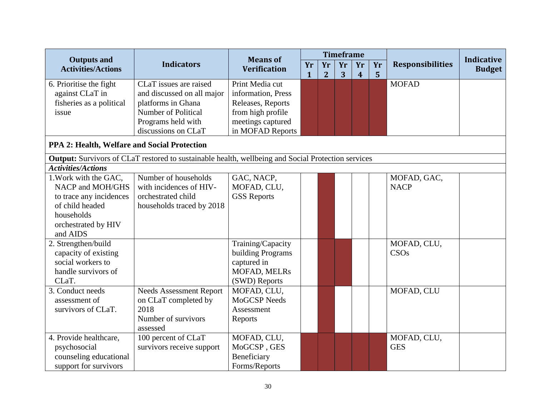|                                                 |                                                                                                           | <b>Means of</b>                        |                    |                      | <b>Timeframe</b> |                        |         |                         |                                    |
|-------------------------------------------------|-----------------------------------------------------------------------------------------------------------|----------------------------------------|--------------------|----------------------|------------------|------------------------|---------|-------------------------|------------------------------------|
| <b>Outputs and</b><br><b>Activities/Actions</b> | <b>Indicators</b>                                                                                         | <b>Verification</b>                    | Yr<br>$\mathbf{1}$ | Yr<br>$\overline{2}$ | Yr<br>3          | Yr<br>$\boldsymbol{4}$ | Yr<br>5 | <b>Responsibilities</b> | <b>Indicative</b><br><b>Budget</b> |
| 6. Prioritise the fight                         | CLaT issues are raised                                                                                    | Print Media cut                        |                    |                      |                  |                        |         | <b>MOFAD</b>            |                                    |
| against CLaT in                                 | and discussed on all major                                                                                | information, Press                     |                    |                      |                  |                        |         |                         |                                    |
| fisheries as a political                        | platforms in Ghana                                                                                        | Releases, Reports                      |                    |                      |                  |                        |         |                         |                                    |
| issue                                           | Number of Political                                                                                       | from high profile                      |                    |                      |                  |                        |         |                         |                                    |
|                                                 | Programs held with                                                                                        | meetings captured                      |                    |                      |                  |                        |         |                         |                                    |
|                                                 | discussions on CLaT                                                                                       | in MOFAD Reports                       |                    |                      |                  |                        |         |                         |                                    |
| PPA 2: Health, Welfare and Social Protection    |                                                                                                           |                                        |                    |                      |                  |                        |         |                         |                                    |
|                                                 | <b>Output:</b> Survivors of CLaT restored to sustainable health, wellbeing and Social Protection services |                                        |                    |                      |                  |                        |         |                         |                                    |
| <b>Activities/Actions</b>                       |                                                                                                           |                                        |                    |                      |                  |                        |         |                         |                                    |
| 1. Work with the GAC,                           | Number of households                                                                                      | GAC, NACP,                             |                    |                      |                  |                        |         | MOFAD, GAC,             |                                    |
| NACP and MOH/GHS                                | with incidences of HIV-                                                                                   | MOFAD, CLU,                            |                    |                      |                  |                        |         | <b>NACP</b>             |                                    |
| to trace any incidences                         | orchestrated child                                                                                        | <b>GSS Reports</b>                     |                    |                      |                  |                        |         |                         |                                    |
| of child headed                                 | households traced by 2018                                                                                 |                                        |                    |                      |                  |                        |         |                         |                                    |
| households                                      |                                                                                                           |                                        |                    |                      |                  |                        |         |                         |                                    |
| orchestrated by HIV<br>and AIDS                 |                                                                                                           |                                        |                    |                      |                  |                        |         |                         |                                    |
|                                                 |                                                                                                           |                                        |                    |                      |                  |                        |         | MOFAD, CLU,             |                                    |
| 2. Strengthen/build<br>capacity of existing     |                                                                                                           | Training/Capacity<br>building Programs |                    |                      |                  |                        |         | CSOs                    |                                    |
| social workers to                               |                                                                                                           | captured in                            |                    |                      |                  |                        |         |                         |                                    |
| handle survivors of                             |                                                                                                           | MOFAD, MELRs                           |                    |                      |                  |                        |         |                         |                                    |
| CLaT.                                           |                                                                                                           | (SWD) Reports                          |                    |                      |                  |                        |         |                         |                                    |
| 3. Conduct needs                                | <b>Needs Assessment Report</b>                                                                            | MOFAD, CLU,                            |                    |                      |                  |                        |         | MOFAD, CLU              |                                    |
| assessment of                                   | on CLaT completed by                                                                                      | <b>MoGCSP</b> Needs                    |                    |                      |                  |                        |         |                         |                                    |
| survivors of CLaT.                              | 2018                                                                                                      | Assessment                             |                    |                      |                  |                        |         |                         |                                    |
|                                                 | Number of survivors                                                                                       | Reports                                |                    |                      |                  |                        |         |                         |                                    |
|                                                 | assessed                                                                                                  |                                        |                    |                      |                  |                        |         |                         |                                    |
| 4. Provide healthcare,                          | 100 percent of CLaT                                                                                       | MOFAD, CLU,                            |                    |                      |                  |                        |         | MOFAD, CLU,             |                                    |
| psychosocial                                    | survivors receive support                                                                                 | MoGCSP, GES                            |                    |                      |                  |                        |         | <b>GES</b>              |                                    |
| counseling educational                          |                                                                                                           | Beneficiary                            |                    |                      |                  |                        |         |                         |                                    |
| support for survivors                           |                                                                                                           | Forms/Reports                          |                    |                      |                  |                        |         |                         |                                    |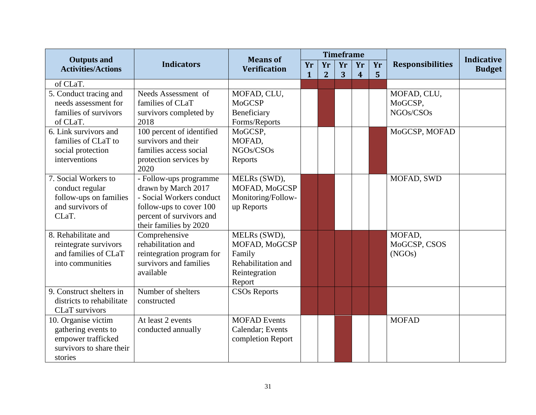|                                                 |                           | <b>Means of</b>     |              |                | <b>Timeframe</b> |                |    |                         | <b>Indicative</b> |
|-------------------------------------------------|---------------------------|---------------------|--------------|----------------|------------------|----------------|----|-------------------------|-------------------|
| <b>Outputs and</b><br><b>Activities/Actions</b> | <b>Indicators</b>         | <b>Verification</b> | Yr           | Yr             | Yr               | Yr             | Yr | <b>Responsibilities</b> | <b>Budget</b>     |
| of CLaT.                                        |                           |                     | $\mathbf{1}$ | $\overline{2}$ | 3                | $\overline{4}$ | 5  |                         |                   |
|                                                 | Needs Assessment of       | MOFAD, CLU,         |              |                |                  |                |    | MOFAD, CLU,             |                   |
| 5. Conduct tracing and<br>needs assessment for  | families of CLaT          | <b>MoGCSP</b>       |              |                |                  |                |    |                         |                   |
|                                                 |                           |                     |              |                |                  |                |    | MoGCSP,                 |                   |
| families of survivors                           | survivors completed by    | Beneficiary         |              |                |                  |                |    | NGOs/CSOs               |                   |
| of CLaT.                                        | 2018                      | Forms/Reports       |              |                |                  |                |    |                         |                   |
| 6. Link survivors and                           | 100 percent of identified | MoGCSP,             |              |                |                  |                |    | MoGCSP, MOFAD           |                   |
| families of CLaT to                             | survivors and their       | MOFAD,              |              |                |                  |                |    |                         |                   |
| social protection                               | families access social    | NGOs/CSOs           |              |                |                  |                |    |                         |                   |
| interventions                                   | protection services by    | Reports             |              |                |                  |                |    |                         |                   |
|                                                 | 2020                      |                     |              |                |                  |                |    |                         |                   |
| 7. Social Workers to                            | - Follow-ups programme    | MELRs (SWD),        |              |                |                  |                |    | MOFAD, SWD              |                   |
| conduct regular                                 | drawn by March 2017       | MOFAD, MoGCSP       |              |                |                  |                |    |                         |                   |
| follow-ups on families                          | - Social Workers conduct  | Monitoring/Follow-  |              |                |                  |                |    |                         |                   |
| and survivors of                                | follow-ups to cover 100   | up Reports          |              |                |                  |                |    |                         |                   |
| CLaT.                                           | percent of survivors and  |                     |              |                |                  |                |    |                         |                   |
|                                                 | their families by 2020    |                     |              |                |                  |                |    |                         |                   |
| 8. Rehabilitate and                             | Comprehensive             | MELRs (SWD),        |              |                |                  |                |    | MOFAD,                  |                   |
| reintegrate survivors                           | rehabilitation and        | MOFAD, MoGCSP       |              |                |                  |                |    | MoGCSP, CSOS            |                   |
| and families of CLaT                            | reintegration program for | Family              |              |                |                  |                |    | (NGOs)                  |                   |
| into communities                                | survivors and families    | Rehabilitation and  |              |                |                  |                |    |                         |                   |
|                                                 | available                 | Reintegration       |              |                |                  |                |    |                         |                   |
|                                                 |                           | Report              |              |                |                  |                |    |                         |                   |
| 9. Construct shelters in                        | Number of shelters        | <b>CSOs Reports</b> |              |                |                  |                |    |                         |                   |
| districts to rehabilitate                       | constructed               |                     |              |                |                  |                |    |                         |                   |
| CLaT survivors                                  |                           |                     |              |                |                  |                |    |                         |                   |
| 10. Organise victim                             | At least 2 events         | <b>MOFAD</b> Events |              |                |                  |                |    | <b>MOFAD</b>            |                   |
| gathering events to                             | conducted annually        | Calendar; Events    |              |                |                  |                |    |                         |                   |
| empower trafficked                              |                           | completion Report   |              |                |                  |                |    |                         |                   |
| survivors to share their                        |                           |                     |              |                |                  |                |    |                         |                   |
| stories                                         |                           |                     |              |                |                  |                |    |                         |                   |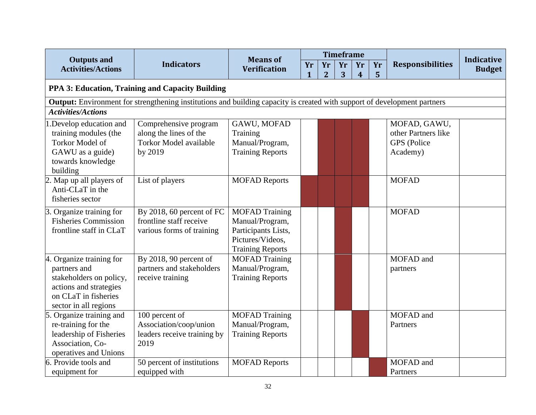|                                                                                                                                 |                               | <b>Means of</b>         |              |                | <b>Timeframe</b> |                         |    |                         | <b>Indicative</b> |
|---------------------------------------------------------------------------------------------------------------------------------|-------------------------------|-------------------------|--------------|----------------|------------------|-------------------------|----|-------------------------|-------------------|
| <b>Outputs and</b><br><b>Activities/Actions</b>                                                                                 | <b>Indicators</b>             | <b>Verification</b>     | Yr           | Yr             | Yr               | Yr                      | Yr | <b>Responsibilities</b> | <b>Budget</b>     |
|                                                                                                                                 |                               |                         | $\mathbf{1}$ | $\overline{2}$ | 3                | $\overline{\mathbf{4}}$ | 5  |                         |                   |
| PPA 3: Education, Training and Capacity Building                                                                                |                               |                         |              |                |                  |                         |    |                         |                   |
| <b>Output:</b> Environment for strengthening institutions and building capacity is created with support of development partners |                               |                         |              |                |                  |                         |    |                         |                   |
| <b>Activities/Actions</b>                                                                                                       |                               |                         |              |                |                  |                         |    |                         |                   |
| 1. Develop education and                                                                                                        | Comprehensive program         | GAWU, MOFAD             |              |                |                  |                         |    | MOFAD, GAWU,            |                   |
| training modules (the                                                                                                           | along the lines of the        | Training                |              |                |                  |                         |    | other Partners like     |                   |
| Torkor Model of                                                                                                                 | <b>Torkor Model available</b> | Manual/Program,         |              |                |                  |                         |    | GPS (Police             |                   |
| GAWU as a guide)                                                                                                                | by 2019                       | <b>Training Reports</b> |              |                |                  |                         |    | Academy)                |                   |
| towards knowledge                                                                                                               |                               |                         |              |                |                  |                         |    |                         |                   |
| building                                                                                                                        |                               |                         |              |                |                  |                         |    |                         |                   |
| 2. Map up all players of                                                                                                        | List of players               | <b>MOFAD Reports</b>    |              |                |                  |                         |    | <b>MOFAD</b>            |                   |
| Anti-CLaT in the                                                                                                                |                               |                         |              |                |                  |                         |    |                         |                   |
| fisheries sector                                                                                                                |                               |                         |              |                |                  |                         |    |                         |                   |
| 3. Organize training for                                                                                                        | By 2018, 60 percent of FC     | <b>MOFAD Training</b>   |              |                |                  |                         |    | <b>MOFAD</b>            |                   |
| <b>Fisheries Commission</b>                                                                                                     | frontline staff receive       | Manual/Program,         |              |                |                  |                         |    |                         |                   |
| frontline staff in CLaT                                                                                                         | various forms of training     | Participants Lists,     |              |                |                  |                         |    |                         |                   |
|                                                                                                                                 |                               | Pictures/Videos.        |              |                |                  |                         |    |                         |                   |
|                                                                                                                                 |                               | <b>Training Reports</b> |              |                |                  |                         |    |                         |                   |
| 4. Organize training for                                                                                                        | By 2018, 90 percent of        | <b>MOFAD Training</b>   |              |                |                  |                         |    | MOFAD and               |                   |
| partners and                                                                                                                    | partners and stakeholders     | Manual/Program,         |              |                |                  |                         |    | partners                |                   |
| stakeholders on policy,                                                                                                         | receive training              | <b>Training Reports</b> |              |                |                  |                         |    |                         |                   |
| actions and strategies                                                                                                          |                               |                         |              |                |                  |                         |    |                         |                   |
| on CLaT in fisheries                                                                                                            |                               |                         |              |                |                  |                         |    |                         |                   |
| sector in all regions                                                                                                           |                               |                         |              |                |                  |                         |    |                         |                   |
| 5. Organize training and                                                                                                        | 100 percent of                | <b>MOFAD Training</b>   |              |                |                  |                         |    | MOFAD and               |                   |
| re-training for the                                                                                                             | Association/coop/union        | Manual/Program,         |              |                |                  |                         |    | Partners                |                   |
| leadership of Fisheries                                                                                                         | leaders receive training by   | <b>Training Reports</b> |              |                |                  |                         |    |                         |                   |
| Association, Co-                                                                                                                | 2019                          |                         |              |                |                  |                         |    |                         |                   |
| operatives and Unions                                                                                                           |                               |                         |              |                |                  |                         |    |                         |                   |
| 6. Provide tools and                                                                                                            | 50 percent of institutions    | <b>MOFAD Reports</b>    |              |                |                  |                         |    | MOFAD and               |                   |
| equipment for                                                                                                                   | equipped with                 |                         |              |                |                  |                         |    | Partners                |                   |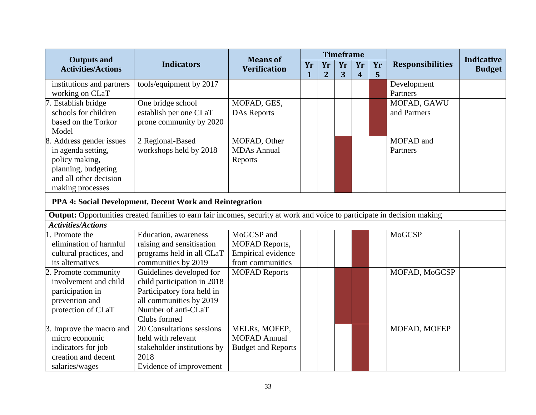|                                                 |                                                                                                                           |                                        |              |                | <b>Timeframe</b> |                  |    |                         |                                    |
|-------------------------------------------------|---------------------------------------------------------------------------------------------------------------------------|----------------------------------------|--------------|----------------|------------------|------------------|----|-------------------------|------------------------------------|
| <b>Outputs and</b><br><b>Activities/Actions</b> | <b>Indicators</b>                                                                                                         | <b>Means of</b><br><b>Verification</b> | Yr           | Yr             | Yr               | Yr               | Yr | <b>Responsibilities</b> | <b>Indicative</b><br><b>Budget</b> |
|                                                 |                                                                                                                           |                                        | $\mathbf{1}$ | $\overline{2}$ | 3                | $\boldsymbol{4}$ | 5  |                         |                                    |
| institutions and partners                       | tools/equipment by 2017                                                                                                   |                                        |              |                |                  |                  |    | Development             |                                    |
| working on CLaT                                 |                                                                                                                           |                                        |              |                |                  |                  |    | Partners                |                                    |
| 7. Establish bridge                             | One bridge school                                                                                                         | MOFAD, GES,                            |              |                |                  |                  |    | MOFAD, GAWU             |                                    |
| schools for children                            | establish per one CLaT                                                                                                    | <b>DAs Reports</b>                     |              |                |                  |                  |    | and Partners            |                                    |
| based on the Torkor                             | prone community by 2020                                                                                                   |                                        |              |                |                  |                  |    |                         |                                    |
| Model                                           |                                                                                                                           |                                        |              |                |                  |                  |    |                         |                                    |
| 8. Address gender issues                        | 2 Regional-Based                                                                                                          | MOFAD, Other                           |              |                |                  |                  |    | MOFAD and               |                                    |
| in agenda setting,                              | workshops held by 2018                                                                                                    | <b>MDAs Annual</b>                     |              |                |                  |                  |    | Partners                |                                    |
| policy making,                                  |                                                                                                                           | Reports                                |              |                |                  |                  |    |                         |                                    |
| planning, budgeting                             |                                                                                                                           |                                        |              |                |                  |                  |    |                         |                                    |
| and all other decision                          |                                                                                                                           |                                        |              |                |                  |                  |    |                         |                                    |
| making processes                                |                                                                                                                           |                                        |              |                |                  |                  |    |                         |                                    |
|                                                 | PPA 4: Social Development, Decent Work and Reintegration                                                                  |                                        |              |                |                  |                  |    |                         |                                    |
|                                                 | Output: Opportunities created families to earn fair incomes, security at work and voice to participate in decision making |                                        |              |                |                  |                  |    |                         |                                    |
| <b>Activities/Actions</b>                       |                                                                                                                           |                                        |              |                |                  |                  |    |                         |                                    |
| . Promote the                                   | Education, awareness                                                                                                      | MoGCSP and                             |              |                |                  |                  |    | <b>MoGCSP</b>           |                                    |
| elimination of harmful                          | raising and sensitisation                                                                                                 | MOFAD Reports,                         |              |                |                  |                  |    |                         |                                    |
| cultural practices, and                         | programs held in all CLaT                                                                                                 | Empirical evidence                     |              |                |                  |                  |    |                         |                                    |
| its alternatives                                | communities by 2019                                                                                                       | from communities                       |              |                |                  |                  |    |                         |                                    |
| 2. Promote community                            | Guidelines developed for                                                                                                  | <b>MOFAD Reports</b>                   |              |                |                  |                  |    | MOFAD, MoGCSP           |                                    |
| involvement and child                           | child participation in 2018                                                                                               |                                        |              |                |                  |                  |    |                         |                                    |
| participation in                                | Participatory for aheld in                                                                                                |                                        |              |                |                  |                  |    |                         |                                    |
| prevention and                                  | all communities by 2019                                                                                                   |                                        |              |                |                  |                  |    |                         |                                    |
| protection of CLaT                              | Number of anti-CLaT                                                                                                       |                                        |              |                |                  |                  |    |                         |                                    |
|                                                 | Clubs formed                                                                                                              |                                        |              |                |                  |                  |    |                         |                                    |
| 3. Improve the macro and                        | 20 Consultations sessions                                                                                                 | MELRs, MOFEP,                          |              |                |                  |                  |    | MOFAD, MOFEP            |                                    |
| micro economic                                  | held with relevant                                                                                                        | <b>MOFAD Annual</b>                    |              |                |                  |                  |    |                         |                                    |
| indicators for job                              | stakeholder institutions by                                                                                               | <b>Budget and Reports</b>              |              |                |                  |                  |    |                         |                                    |
| creation and decent                             | 2018                                                                                                                      |                                        |              |                |                  |                  |    |                         |                                    |
| salaries/wages                                  | Evidence of improvement                                                                                                   |                                        |              |                |                  |                  |    |                         |                                    |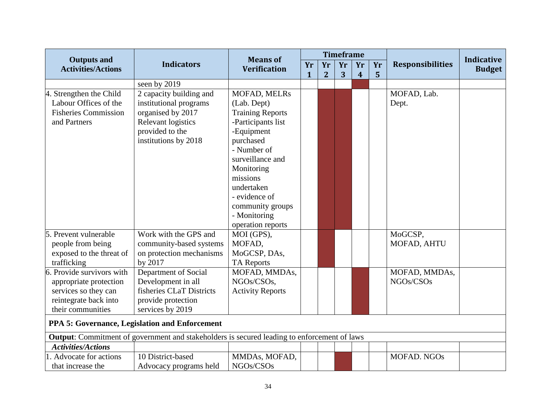|                                                 |                                                                                             |                                        |              |                | <b>Timeframe</b> |                  |                |                         |                                    |
|-------------------------------------------------|---------------------------------------------------------------------------------------------|----------------------------------------|--------------|----------------|------------------|------------------|----------------|-------------------------|------------------------------------|
| <b>Outputs and</b><br><b>Activities/Actions</b> | <b>Indicators</b>                                                                           | <b>Means of</b><br><b>Verification</b> | Yr           | Yr             | Yr               | Yr               | Yr             | <b>Responsibilities</b> | <b>Indicative</b><br><b>Budget</b> |
|                                                 |                                                                                             |                                        | $\mathbf{1}$ | $\overline{2}$ | 3                | $\boldsymbol{4}$ | $5\phantom{1}$ |                         |                                    |
|                                                 | seen by 2019                                                                                |                                        |              |                |                  |                  |                |                         |                                    |
| 4. Strengthen the Child                         | 2 capacity building and                                                                     | MOFAD, MELRs                           |              |                |                  |                  |                | MOFAD, Lab.             |                                    |
| Labour Offices of the                           | institutional programs                                                                      | (Lab. Dept)                            |              |                |                  |                  |                | Dept.                   |                                    |
| <b>Fisheries Commission</b>                     | organised by 2017                                                                           | <b>Training Reports</b>                |              |                |                  |                  |                |                         |                                    |
| and Partners                                    | Relevant logistics                                                                          | -Participants list                     |              |                |                  |                  |                |                         |                                    |
|                                                 | provided to the                                                                             | -Equipment                             |              |                |                  |                  |                |                         |                                    |
|                                                 | institutions by 2018                                                                        | purchased                              |              |                |                  |                  |                |                         |                                    |
|                                                 |                                                                                             | - Number of                            |              |                |                  |                  |                |                         |                                    |
|                                                 |                                                                                             | surveillance and                       |              |                |                  |                  |                |                         |                                    |
|                                                 |                                                                                             | Monitoring                             |              |                |                  |                  |                |                         |                                    |
|                                                 |                                                                                             | missions                               |              |                |                  |                  |                |                         |                                    |
|                                                 |                                                                                             | undertaken                             |              |                |                  |                  |                |                         |                                    |
|                                                 |                                                                                             | - evidence of                          |              |                |                  |                  |                |                         |                                    |
|                                                 |                                                                                             | community groups                       |              |                |                  |                  |                |                         |                                    |
|                                                 |                                                                                             | - Monitoring                           |              |                |                  |                  |                |                         |                                    |
|                                                 |                                                                                             | operation reports                      |              |                |                  |                  |                |                         |                                    |
| 5. Prevent vulnerable                           | Work with the GPS and                                                                       | MOI (GPS),                             |              |                |                  |                  |                | MoGCSP,                 |                                    |
| people from being                               | community-based systems                                                                     | MOFAD,                                 |              |                |                  |                  |                | MOFAD, AHTU             |                                    |
| exposed to the threat of                        | on protection mechanisms                                                                    | MoGCSP, DAs,                           |              |                |                  |                  |                |                         |                                    |
| trafficking                                     | by 2017                                                                                     | <b>TA Reports</b>                      |              |                |                  |                  |                |                         |                                    |
| 6. Provide survivors with                       | Department of Social                                                                        | MOFAD, MMDAs,                          |              |                |                  |                  |                | MOFAD, MMDAs,           |                                    |
| appropriate protection                          | Development in all                                                                          | NGOs/CSOs,                             |              |                |                  |                  |                | NGOs/CSOs               |                                    |
| services so they can                            | fisheries CLaT Districts                                                                    | <b>Activity Reports</b>                |              |                |                  |                  |                |                         |                                    |
| reintegrate back into                           | provide protection                                                                          |                                        |              |                |                  |                  |                |                         |                                    |
| their communities                               | services by 2019                                                                            |                                        |              |                |                  |                  |                |                         |                                    |
|                                                 | PPA 5: Governance, Legislation and Enforcement                                              |                                        |              |                |                  |                  |                |                         |                                    |
|                                                 | Output: Commitment of government and stakeholders is secured leading to enforcement of laws |                                        |              |                |                  |                  |                |                         |                                    |
| <b>Activities/Actions</b>                       |                                                                                             |                                        |              |                |                  |                  |                |                         |                                    |
| 1. Advocate for actions                         | 10 District-based                                                                           | MMDAs, MOFAD,                          |              |                |                  |                  |                | MOFAD. NGOs             |                                    |
| that increase the                               | Advocacy programs held                                                                      | NGOs/CSOs                              |              |                |                  |                  |                |                         |                                    |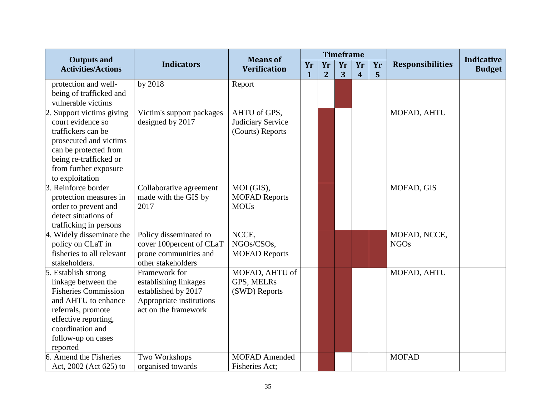|                                                 |                           | <b>Means of</b>      |    |                | <b>Timeframe</b> |                  |    |                         | <b>Indicative</b> |
|-------------------------------------------------|---------------------------|----------------------|----|----------------|------------------|------------------|----|-------------------------|-------------------|
| <b>Outputs and</b><br><b>Activities/Actions</b> | <b>Indicators</b>         | <b>Verification</b>  | Yr | Yr             | Yr               | Yr               | Yr | <b>Responsibilities</b> | <b>Budget</b>     |
|                                                 |                           |                      | 1  | $\overline{2}$ | 3                | $\boldsymbol{4}$ | 5  |                         |                   |
| protection and well-                            | by 2018                   | Report               |    |                |                  |                  |    |                         |                   |
| being of trafficked and                         |                           |                      |    |                |                  |                  |    |                         |                   |
| vulnerable victims                              |                           |                      |    |                |                  |                  |    |                         |                   |
| 2. Support victims giving                       | Victim's support packages | AHTU of GPS,         |    |                |                  |                  |    | MOFAD, AHTU             |                   |
| court evidence so                               | designed by 2017          | Judiciary Service    |    |                |                  |                  |    |                         |                   |
| traffickers can be                              |                           | (Courts) Reports     |    |                |                  |                  |    |                         |                   |
| prosecuted and victims                          |                           |                      |    |                |                  |                  |    |                         |                   |
| can be protected from                           |                           |                      |    |                |                  |                  |    |                         |                   |
| being re-trafficked or                          |                           |                      |    |                |                  |                  |    |                         |                   |
| from further exposure                           |                           |                      |    |                |                  |                  |    |                         |                   |
| to exploitation                                 |                           |                      |    |                |                  |                  |    |                         |                   |
| 3. Reinforce border                             | Collaborative agreement   | MOI (GIS),           |    |                |                  |                  |    | MOFAD, GIS              |                   |
| protection measures in                          | made with the GIS by      | <b>MOFAD Reports</b> |    |                |                  |                  |    |                         |                   |
| order to prevent and                            | 2017                      | <b>MOUs</b>          |    |                |                  |                  |    |                         |                   |
| detect situations of                            |                           |                      |    |                |                  |                  |    |                         |                   |
| trafficking in persons                          |                           |                      |    |                |                  |                  |    |                         |                   |
| 4. Widely disseminate the                       | Policy disseminated to    | NCCE,                |    |                |                  |                  |    | MOFAD, NCCE,            |                   |
| policy on CLaT in                               | cover 100percent of CLaT  | NGOs/CSOs,           |    |                |                  |                  |    | <b>NGOs</b>             |                   |
| fisheries to all relevant                       | prone communities and     | <b>MOFAD Reports</b> |    |                |                  |                  |    |                         |                   |
| stakeholders.                                   | other stakeholders        |                      |    |                |                  |                  |    |                         |                   |
| 5. Establish strong                             | Framework for             | MOFAD, AHTU of       |    |                |                  |                  |    | MOFAD, AHTU             |                   |
| linkage between the                             | establishing linkages     | <b>GPS, MELRs</b>    |    |                |                  |                  |    |                         |                   |
| <b>Fisheries Commission</b>                     | established by 2017       | (SWD) Reports        |    |                |                  |                  |    |                         |                   |
| and AHTU to enhance                             | Appropriate institutions  |                      |    |                |                  |                  |    |                         |                   |
| referrals, promote                              | act on the framework      |                      |    |                |                  |                  |    |                         |                   |
| effective reporting,                            |                           |                      |    |                |                  |                  |    |                         |                   |
| coordination and                                |                           |                      |    |                |                  |                  |    |                         |                   |
| follow-up on cases                              |                           |                      |    |                |                  |                  |    |                         |                   |
| reported                                        |                           |                      |    |                |                  |                  |    |                         |                   |
| 6. Amend the Fisheries                          | Two Workshops             | <b>MOFAD</b> Amended |    |                |                  |                  |    | <b>MOFAD</b>            |                   |
| Act, 2002 (Act 625) to                          | organised towards         | Fisheries Act;       |    |                |                  |                  |    |                         |                   |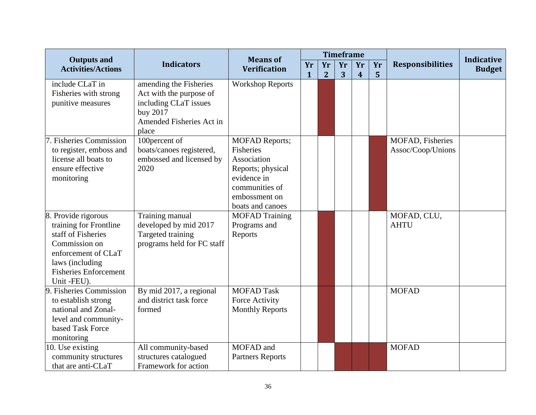|                                                 | <b>Indicators</b>          | <b>Means of</b><br><b>Verification</b> |              |                | <b>Timeframe</b> |                |    | <b>Responsibilities</b> |                                    |
|-------------------------------------------------|----------------------------|----------------------------------------|--------------|----------------|------------------|----------------|----|-------------------------|------------------------------------|
| <b>Outputs and</b><br><b>Activities/Actions</b> |                            |                                        | Yr           | Yr             | Yr               | Yr             | Yr |                         | <b>Indicative</b><br><b>Budget</b> |
|                                                 |                            |                                        | $\mathbf{1}$ | $\overline{2}$ | 3                | $\overline{4}$ | 5  |                         |                                    |
| include CLaT in                                 | amending the Fisheries     | <b>Workshop Reports</b>                |              |                |                  |                |    |                         |                                    |
| Fisheries with strong                           | Act with the purpose of    |                                        |              |                |                  |                |    |                         |                                    |
| punitive measures                               | including CLaT issues      |                                        |              |                |                  |                |    |                         |                                    |
|                                                 | buy 2017                   |                                        |              |                |                  |                |    |                         |                                    |
|                                                 | Amended Fisheries Act in   |                                        |              |                |                  |                |    |                         |                                    |
|                                                 | place                      |                                        |              |                |                  |                |    |                         |                                    |
| 7. Fisheries Commission                         | 100percent of              | <b>MOFAD Reports;</b>                  |              |                |                  |                |    | MOFAD, Fisheries        |                                    |
| to register, emboss and                         | boats/canoes registered,   | Fisheries                              |              |                |                  |                |    | Assoc/Coop/Unions       |                                    |
| license all boats to                            | embossed and licensed by   | Association                            |              |                |                  |                |    |                         |                                    |
| ensure effective                                | 2020                       | Reports; physical                      |              |                |                  |                |    |                         |                                    |
| monitoring                                      |                            | evidence in                            |              |                |                  |                |    |                         |                                    |
|                                                 |                            | communities of                         |              |                |                  |                |    |                         |                                    |
|                                                 |                            | embossment on                          |              |                |                  |                |    |                         |                                    |
|                                                 |                            | boats and canoes                       |              |                |                  |                |    |                         |                                    |
| 8. Provide rigorous                             | Training manual            | <b>MOFAD Training</b>                  |              |                |                  |                |    | MOFAD, CLU,             |                                    |
| training for Frontline                          | developed by mid 2017      | Programs and                           |              |                |                  |                |    | <b>AHTU</b>             |                                    |
| staff of Fisheries                              | Targeted training          | Reports                                |              |                |                  |                |    |                         |                                    |
| Commission on                                   | programs held for FC staff |                                        |              |                |                  |                |    |                         |                                    |
| enforcement of CLaT                             |                            |                                        |              |                |                  |                |    |                         |                                    |
| laws (including                                 |                            |                                        |              |                |                  |                |    |                         |                                    |
| <b>Fisheries Enforcement</b>                    |                            |                                        |              |                |                  |                |    |                         |                                    |
| Unit -FEU).                                     |                            |                                        |              |                |                  |                |    |                         |                                    |
| 9. Fisheries Commission                         | By mid 2017, a regional    | <b>MOFAD Task</b>                      |              |                |                  |                |    | <b>MOFAD</b>            |                                    |
| to establish strong                             | and district task force    | Force Activity                         |              |                |                  |                |    |                         |                                    |
| national and Zonal-                             | formed                     | <b>Monthly Reports</b>                 |              |                |                  |                |    |                         |                                    |
| level and community-                            |                            |                                        |              |                |                  |                |    |                         |                                    |
| based Task Force                                |                            |                                        |              |                |                  |                |    |                         |                                    |
| monitoring                                      |                            |                                        |              |                |                  |                |    |                         |                                    |
| 10. Use existing                                | All community-based        | MOFAD and                              |              |                |                  |                |    | <b>MOFAD</b>            |                                    |
| community structures                            | structures catalogued      | <b>Partners Reports</b>                |              |                |                  |                |    |                         |                                    |
| that are anti-CLaT                              | Framework for action       |                                        |              |                |                  |                |    |                         |                                    |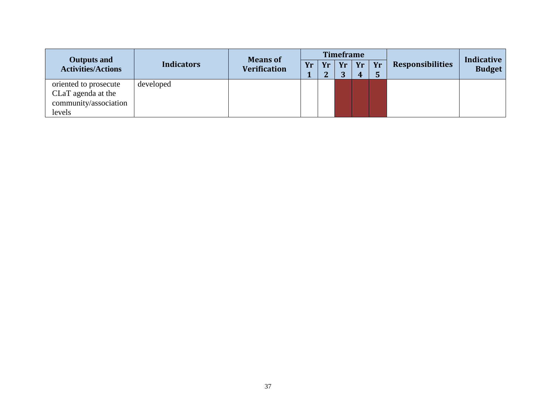| <b>Outputs and</b><br><b>Activities/Actions</b>                                | <b>Indicators</b> | <b>Means of</b><br><b>Verification</b> | <b>Timeframe</b> |              |          |         |    |                         | Indicative    |
|--------------------------------------------------------------------------------|-------------------|----------------------------------------|------------------|--------------|----------|---------|----|-------------------------|---------------|
|                                                                                |                   |                                        | Yr               | Yr<br>റ<br>▱ | Yr<br>n. | Yr<br>4 | Yr | <b>Responsibilities</b> | <b>Budget</b> |
| oriented to prosecute<br>CLaT agenda at the<br>community/association<br>levels | developed         |                                        |                  |              |          |         |    |                         |               |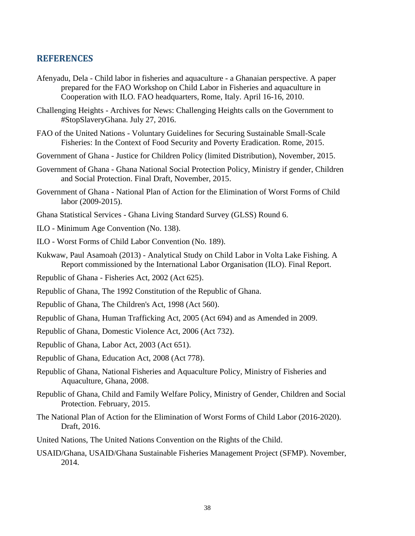#### <span id="page-48-0"></span>**REFERENCES**

- Afenyadu, Dela Child labor in fisheries and aquaculture a Ghanaian perspective. A paper prepared for the FAO Workshop on Child Labor in Fisheries and aquaculture in Cooperation with ILO. FAO headquarters, Rome, Italy. April 16-16, 2010.
- Challenging Heights Archives for News: Challenging Heights calls on the Government to #StopSlaveryGhana. July 27, 2016.
- FAO of the United Nations Voluntary Guidelines for Securing Sustainable Small-Scale Fisheries: In the Context of Food Security and Poverty Eradication. Rome, 2015.
- Government of Ghana Justice for Children Policy (limited Distribution), November, 2015.
- Government of Ghana Ghana National Social Protection Policy, Ministry if gender, Children and Social Protection. Final Draft, November, 2015.
- Government of Ghana National Plan of Action for the Elimination of Worst Forms of Child labor (2009-2015).
- Ghana Statistical Services Ghana Living Standard Survey (GLSS) Round 6.
- ILO Minimum Age Convention (No. 138).
- ILO Worst Forms of Child Labor Convention (No. 189).
- Kukwaw, Paul Asamoah (2013) Analytical Study on Child Labor in Volta Lake Fishing. A Report commissioned by the International Labor Organisation (ILO). Final Report.
- Republic of Ghana Fisheries Act, 2002 (Act 625).
- Republic of Ghana, The 1992 Constitution of the Republic of Ghana.
- Republic of Ghana, The Children's Act, 1998 (Act 560).
- Republic of Ghana, Human Trafficking Act, 2005 (Act 694) and as Amended in 2009.
- Republic of Ghana, Domestic Violence Act, 2006 (Act 732).
- Republic of Ghana, Labor Act, 2003 (Act 651).
- Republic of Ghana, Education Act, 2008 (Act 778).
- Republic of Ghana, National Fisheries and Aquaculture Policy, Ministry of Fisheries and Aquaculture, Ghana, 2008.
- Republic of Ghana, Child and Family Welfare Policy, Ministry of Gender, Children and Social Protection. February, 2015.
- The National Plan of Action for the Elimination of Worst Forms of Child Labor (2016-2020). Draft, 2016.
- United Nations, The United Nations Convention on the Rights of the Child.
- USAID/Ghana, USAID/Ghana Sustainable Fisheries Management Project (SFMP). November, 2014.